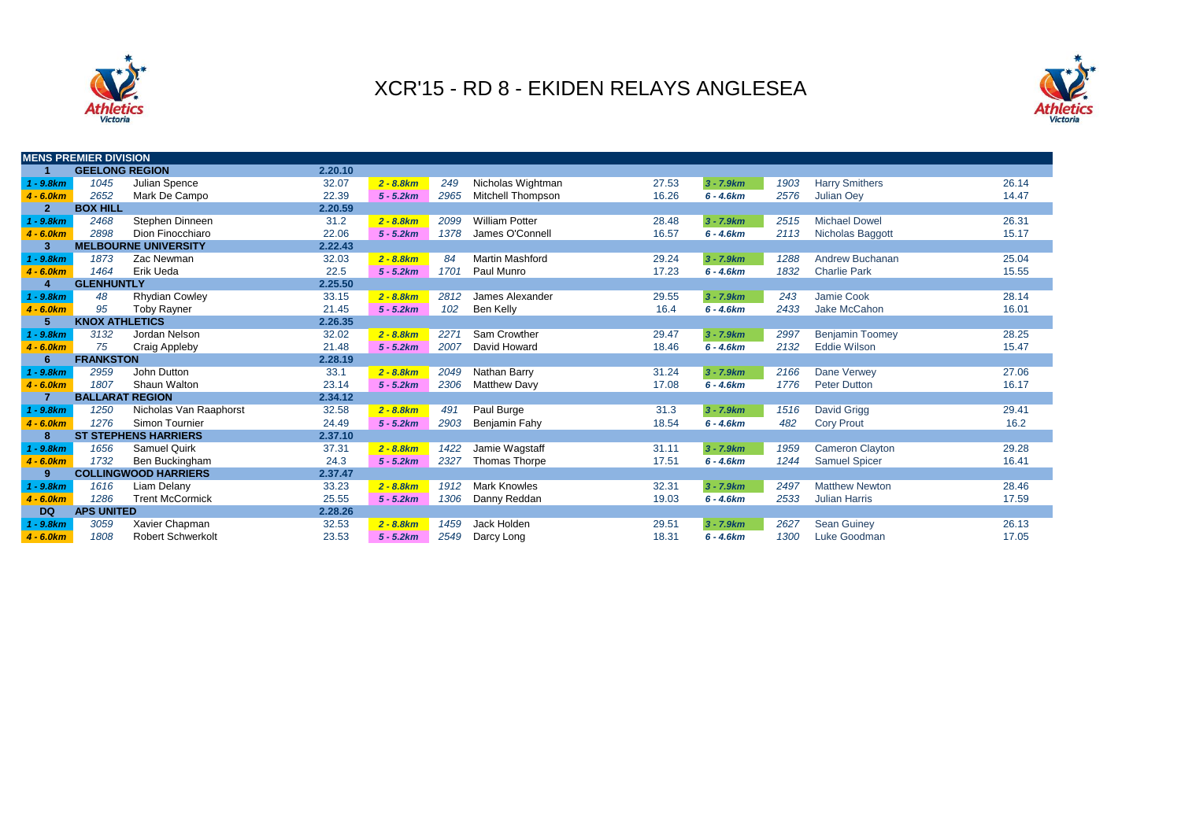



|                | <b>MENS PREMIER DIVISION</b> |                             |         |              |      |                          |       |              |      |                        |       |
|----------------|------------------------------|-----------------------------|---------|--------------|------|--------------------------|-------|--------------|------|------------------------|-------|
|                | <b>GEELONG REGION</b>        |                             | 2.20.10 |              |      |                          |       |              |      |                        |       |
| $1 - 9.8km$    | 1045                         | Julian Spence               | 32.07   | $2 - 8.8 km$ | 249  | Nicholas Wightman        | 27.53 | $3 - 7.9 km$ | 1903 | <b>Harry Smithers</b>  | 26.14 |
| $4 - 6.0km$    | 2652                         | Mark De Campo               | 22.39   | $5 - 5.2km$  | 2965 | <b>Mitchell Thompson</b> | 16.26 | $6 - 4.6km$  | 2576 | <b>Julian Oey</b>      | 14.47 |
| $\overline{2}$ | <b>BOX HILL</b>              |                             | 2.20.59 |              |      |                          |       |              |      |                        |       |
| 1 - 9.8km      | 2468                         | Stephen Dinneen             | 31.2    | $2 - 8.8 km$ | 2099 | <b>William Potter</b>    | 28.48 | $3 - 7.9 km$ | 2515 | <b>Michael Dowel</b>   | 26.31 |
| $4 - 6.0km$    | 2898                         | Dion Finocchiaro            | 22.06   | $5 - 5.2km$  | 1378 | James O'Connell          | 16.57 | $6 - 4.6km$  | 2113 | Nicholas Baggott       | 15.17 |
| -3             |                              | <b>MELBOURNE UNIVERSITY</b> | 2.22.43 |              |      |                          |       |              |      |                        |       |
| $1 - 9.8km$    | 1873                         | Zac Newman                  | 32.03   | $2 - 8.8 km$ | 84   | <b>Martin Mashford</b>   | 29.24 | $3 - 7.9 km$ | 1288 | <b>Andrew Buchanan</b> | 25.04 |
| $4 - 6.0km$    | 1464                         | Erik Ueda                   | 22.5    | $5 - 5.2km$  | 1701 | Paul Munro               | 17.23 | $6 - 4.6km$  | 1832 | <b>Charlie Park</b>    | 15.55 |
| Δ              | <b>GLENHUNTLY</b>            |                             | 2.25.50 |              |      |                          |       |              |      |                        |       |
| $1 - 9.8km$    | 48                           | <b>Rhydian Cowley</b>       | 33.15   | $2 - 8.8 km$ | 2812 | James Alexander          | 29.55 | $3 - 7.9 km$ | 243  | Jamie Cook             | 28.14 |
| $4 - 6.0km$    | 95                           | <b>Toby Rayner</b>          | 21.45   | $5 - 5.2km$  | 102  | Ben Kelly                | 16.4  | $6 - 4.6km$  | 2433 | Jake McCahon           | 16.01 |
|                | <b>KNOX ATHLETICS</b>        |                             | 2.26.35 |              |      |                          |       |              |      |                        |       |
| $1 - 9.8km$    | 3132                         | Jordan Nelson               | 32.02   | $2 - 8.8 km$ | 2271 | Sam Crowther             | 29.47 | $3 - 7.9 km$ | 2997 | <b>Benjamin Toomey</b> | 28.25 |
| $4 - 6.0km$    | 75                           | <b>Craig Appleby</b>        | 21.48   | $5 - 5.2km$  | 2007 | David Howard             | 18.46 | $6 - 4.6km$  | 2132 | <b>Eddie Wilson</b>    | 15.47 |
| 6              | <b>FRANKSTON</b>             |                             | 2.28.19 |              |      |                          |       |              |      |                        |       |
| $1 - 9.8km$    | 2959                         | John Dutton                 | 33.1    | $2 - 8.8 km$ | 2049 | Nathan Barry             | 31.24 | $3 - 7.9 km$ | 2166 | Dane Verwey            | 27.06 |
| $4 - 6.0km$    | 1807                         | Shaun Walton                | 23.14   | $5 - 5.2km$  | 2306 | <b>Matthew Davy</b>      | 17.08 | $6 - 4.6km$  | 1776 | <b>Peter Dutton</b>    | 16.17 |
|                | <b>BALLARAT REGION</b>       |                             | 2.34.12 |              |      |                          |       |              |      |                        |       |
| $1 - 9.8km$    | 1250                         | Nicholas Van Raaphorst      | 32.58   | $2 - 8.8 km$ | 491  | Paul Burge               | 31.3  | $3 - 7.9 km$ | 1516 | David Grigg            | 29.41 |
| $4 - 6.0km$    | 1276                         | Simon Tournier              | 24.49   | $5 - 5.2km$  | 2903 | Benjamin Fahy            | 18.54 | $6 - 4.6km$  | 482  | <b>Cory Prout</b>      | 16.2  |
| 8              |                              | <b>ST STEPHENS HARRIERS</b> | 2.37.10 |              |      |                          |       |              |      |                        |       |
| 1 - 9.8km      | 1656                         | <b>Samuel Quirk</b>         | 37.31   | $2 - 8.8 km$ | 1422 | Jamie Wagstaff           | 31.11 | $3 - 7.9 km$ | 1959 | <b>Cameron Clayton</b> | 29.28 |
| $4 - 6.0km$    | 1732                         | Ben Buckingham              | 24.3    | $5 - 5.2km$  | 2327 | Thomas Thorpe            | 17.51 | $6 - 4.6km$  | 1244 | <b>Samuel Spicer</b>   | 16.41 |
| 9              |                              | <b>COLLINGWOOD HARRIERS</b> | 2.37.47 |              |      |                          |       |              |      |                        |       |
| $1 - 9.8km$    | 1616                         | Liam Delany                 | 33.23   | $2 - 8.8 km$ | 1912 | <b>Mark Knowles</b>      | 32.31 | $3 - 7.9 km$ | 2497 | <b>Matthew Newton</b>  | 28.46 |
| $4 - 6.0km$    | 1286                         | <b>Trent McCormick</b>      | 25.55   | $5 - 5.2km$  | 1306 | Danny Reddan             | 19.03 | $6 - 4.6km$  | 2533 | <b>Julian Harris</b>   | 17.59 |
| <b>DQ</b>      | <b>APS UNITED</b>            |                             | 2.28.26 |              |      |                          |       |              |      |                        |       |
| $1 - 9.8km$    | 3059                         | Xavier Chapman              | 32.53   | $2 - 8.8 km$ | 1459 | Jack Holden              | 29.51 | $3 - 7.9 km$ | 2627 | <b>Sean Guiney</b>     | 26.13 |
| $4 - 6.0km$    | 1808                         | <b>Robert Schwerkolt</b>    | 23.53   | $5 - 5.2km$  | 2549 | Darcy Long               | 18.31 | $6 - 4.6km$  | 1300 | Luke Goodman           | 17.05 |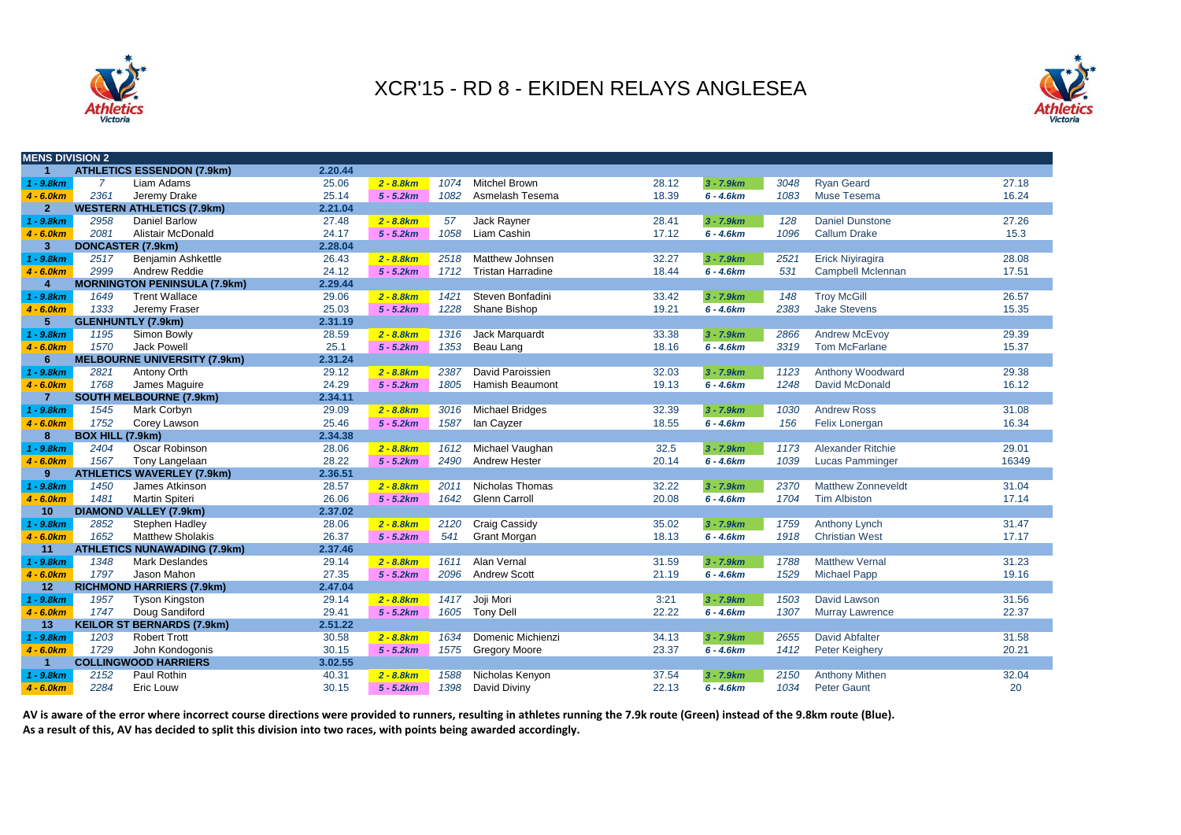



| <b>MENS DIVISION 2</b>  |                  |                                     |         |              |      |                          |       |              |      |                           |       |
|-------------------------|------------------|-------------------------------------|---------|--------------|------|--------------------------|-------|--------------|------|---------------------------|-------|
|                         |                  | <b>ATHLETICS ESSENDON (7.9km)</b>   | 2.20.44 |              |      |                          |       |              |      |                           |       |
| $1 - 9.8km$             | $\overline{7}$   | Liam Adams                          | 25.06   | $2 - 8.8 km$ | 1074 | <b>Mitchel Brown</b>     | 28.12 | $3 - 7.9km$  | 3048 | <b>Ryan Geard</b>         | 27.18 |
| $4 - 6.0km$             | 2361             | Jeremy Drake                        | 25.14   | $5 - 5.2km$  | 1082 | Asmelash Tesema          | 18.39 | $6 - 4.6km$  | 1083 | Muse Tesema               | 16.24 |
| 2 <sup>1</sup>          |                  | <b>WESTERN ATHLETICS (7.9km)</b>    | 2.21.04 |              |      |                          |       |              |      |                           |       |
| $1 - 9.8km$             | 2958             | <b>Daniel Barlow</b>                | 27.48   | $2 - 8.8 km$ | 57   | Jack Rayner              | 28.41 | $3 - 7.9km$  | 128  | <b>Daniel Dunstone</b>    | 27.26 |
| $4 - 6.0km$             | 2081             | Alistair McDonald                   | 24.17   | $5 - 5.2km$  | 1058 | Liam Cashin              | 17.12 | $6 - 4.6km$  | 1096 | <b>Callum Drake</b>       | 15.3  |
| 3 <sup>1</sup>          |                  | <b>DONCASTER (7.9km)</b>            | 2.28.04 |              |      |                          |       |              |      |                           |       |
| $1 - 9.8km$             | 2517             | Benjamin Ashkettle                  | 26.43   | $2 - 8.8 km$ | 2518 | <b>Matthew Johnsen</b>   | 32.27 | $3 - 7.9km$  | 2521 | <b>Erick Niviragira</b>   | 28.08 |
| $4 - 6.0km$             | 2999             | <b>Andrew Reddie</b>                | 24.12   | $5 - 5.2km$  | 1712 | <b>Tristan Harradine</b> | 18.44 | $6 - 4.6km$  | 531  | <b>Campbell Mclennan</b>  | 17.51 |
| $\overline{\mathbf{4}}$ |                  | <b>MORNINGTON PENINSULA (7.9km)</b> | 2.29.44 |              |      |                          |       |              |      |                           |       |
| $1 - 9.8km$             | 1649             | <b>Trent Wallace</b>                | 29.06   | $2 - 8.8 km$ | 1421 | Steven Bonfadini         | 33.42 | $3 - 7.9km$  | 148  | <b>Troy McGill</b>        | 26.57 |
| $4 - 6.0km$             | 1333             | Jeremy Fraser                       | 25.03   | $5 - 5.2km$  | 1228 | Shane Bishop             | 19.21 | $6 - 4.6km$  | 2383 | <b>Jake Stevens</b>       | 15.35 |
| 5                       |                  | <b>GLENHUNTLY (7.9km)</b>           | 2.31.19 |              |      |                          |       |              |      |                           |       |
| $1 - 9.8km$             | 1195             | Simon Bowly                         | 28.59   | $2 - 8.8 km$ | 1316 | Jack Marquardt           | 33.38 | $3 - 7.9km$  | 2866 | <b>Andrew McEvoy</b>      | 29.39 |
| $4 - 6.0km$             | 1570             | <b>Jack Powell</b>                  | 25.1    | $5 - 5.2km$  | 1353 | Beau Lang                | 18.16 | $6 - 4.6km$  | 3319 | <b>Tom McFarlane</b>      | 15.37 |
| 6                       |                  | <b>MELBOURNE UNIVERSITY (7.9km)</b> | 2.31.24 |              |      |                          |       |              |      |                           |       |
| $1 - 9.8km$             | 2821             | Antony Orth                         | 29.12   | $2 - 8.8 km$ | 2387 | David Paroissien         | 32.03 | $3 - 7.9km$  | 1123 | Anthony Woodward          | 29.38 |
| $4 - 6.0km$             | 1768             | James Maguire                       | 24.29   | $5 - 5.2km$  | 1805 | <b>Hamish Beaumont</b>   | 19.13 | $6 - 4.6km$  | 1248 | David McDonald            | 16.12 |
| $\overline{7}$          |                  | <b>SOUTH MELBOURNE (7.9km)</b>      | 2.34.11 |              |      |                          |       |              |      |                           |       |
| $1 - 9.8km$             | 1545             | Mark Corbyn                         | 29.09   | $2 - 8.8 km$ | 3016 | <b>Michael Bridges</b>   | 32.39 | $3 - 7.9km$  | 1030 | <b>Andrew Ross</b>        | 31.08 |
| $4 - 6.0km$             | 1752             | Corey Lawson                        | 25.46   | $5 - 5.2km$  | 1587 | lan Cayzer               | 18.55 | $6 - 4.6km$  | 156  | Felix Lonergan            | 16.34 |
| 8                       | BOX HILL (7.9km) |                                     | 2.34.38 |              |      |                          |       |              |      |                           |       |
| $1 - 9.8km$             | 2404             | <b>Oscar Robinson</b>               | 28.06   | $2 - 8.8 km$ | 1612 | Michael Vaughan          | 32.5  | $3 - 7.9km$  | 1173 | <b>Alexander Ritchie</b>  | 29.01 |
| $4 - 6.0km$             | 1567             | Tony Langelaan                      | 28.22   | $5 - 5.2km$  | 2490 | <b>Andrew Hester</b>     | 20.14 | $6 - 4.6km$  | 1039 | <b>Lucas Pamminger</b>    | 16349 |
| 9                       |                  | <b>ATHLETICS WAVERLEY (7.9km)</b>   | 2.36.51 |              |      |                          |       |              |      |                           |       |
| $1 - 9.8km$             | 1450             | James Atkinson                      | 28.57   | $2 - 8.8 km$ | 2011 | Nicholas Thomas          | 32.22 | $3 - 7.9km$  | 2370 | <b>Matthew Zonneveldt</b> | 31.04 |
| $4 - 6.0km$             | 1481             | <b>Martin Spiteri</b>               | 26.06   | $5 - 5.2km$  | 1642 | <b>Glenn Carroll</b>     | 20.08 | $6 - 4.6km$  | 1704 | <b>Tim Albiston</b>       | 17.14 |
| 10                      |                  | <b>DIAMOND VALLEY (7.9km)</b>       | 2.37.02 |              |      |                          |       |              |      |                           |       |
| $1 - 9.8km$             | 2852             | Stephen Hadley                      | 28.06   | $2 - 8.8 km$ | 2120 | Craig Cassidy            | 35.02 | $3 - 7.9 km$ | 1759 | <b>Anthony Lynch</b>      | 31.47 |
| $4 - 6.0km$             | 1652             | <b>Matthew Sholakis</b>             | 26.37   | $5 - 5.2km$  | 541  | <b>Grant Morgan</b>      | 18.13 | $6 - 4.6km$  | 1918 | <b>Christian West</b>     | 17.17 |
| 11                      |                  | <b>ATHLETICS NUNAWADING (7.9km)</b> | 2.37.46 |              |      |                          |       |              |      |                           |       |
| $1 - 9.8km$             | 1348             | <b>Mark Deslandes</b>               | 29.14   | $2 - 8.8 km$ | 1611 | Alan Vernal              | 31.59 | $3 - 7.9km$  | 1788 | <b>Matthew Vernal</b>     | 31.23 |
| $4 - 6.0km$             | 1797             | Jason Mahon                         | 27.35   | $5 - 5.2km$  | 2096 | <b>Andrew Scott</b>      | 21.19 | $6 - 4.6km$  | 1529 | <b>Michael Papp</b>       | 19.16 |
| 12                      |                  | <b>RICHMOND HARRIERS (7.9km)</b>    | 2.47.04 |              |      |                          |       |              |      |                           |       |
| $1 - 9.8km$             | 1957             | <b>Tyson Kingston</b>               | 29.14   | $2 - 8.8 km$ | 1417 | Joji Mori                | 3:21  | $3 - 7.9km$  | 1503 | David Lawson              | 31.56 |
| $4 - 6.0km$             | 1747             | Doug Sandiford                      | 29.41   | $5 - 5.2km$  | 1605 | <b>Tony Dell</b>         | 22.22 | $6 - 4.6km$  | 1307 | <b>Murray Lawrence</b>    | 22.37 |
| 13                      |                  | <b>KEILOR ST BERNARDS (7.9km)</b>   | 2.51.22 |              |      |                          |       |              |      |                           |       |
| $1 - 9.8km$             | 1203             | <b>Robert Trott</b>                 | 30.58   | $2 - 8.8 km$ | 1634 | Domenic Michienzi        | 34.13 | $3 - 7.9km$  | 2655 | <b>David Abfalter</b>     | 31.58 |
| $4 - 6.0 km$            | 1729             | John Kondogonis                     | 30.15   | $5 - 5.2km$  |      | 1575 Gregory Moore       | 23.37 | $6 - 4.6km$  | 1412 | Peter Keighery            | 20.21 |
| $\mathbf{1}$            |                  | <b>COLLINGWOOD HARRIERS</b>         | 3.02.55 |              |      |                          |       |              |      |                           |       |
| $1 - 9.8km$             | 2152             | Paul Rothin                         | 40.31   | $2 - 8.8 km$ | 1588 | Nicholas Kenyon          | 37.54 | $3 - 7.9km$  | 2150 | <b>Anthony Mithen</b>     | 32.04 |
| $4 - 6.0 km$            | 2284             | Eric Louw                           | 30.15   | $5 - 5.2km$  | 1398 | David Diviny             | 22.13 | $6 - 4.6km$  | 1034 | <b>Peter Gaunt</b>        | 20    |

AV is aware of the error where incorrect course directions were provided to runners, resulting in athletes running the 7.9k route (Green) instead of the 9.8km route (Blue). **As a result of this, AV has decided to split this division into two races, with points being awarded accordingly.**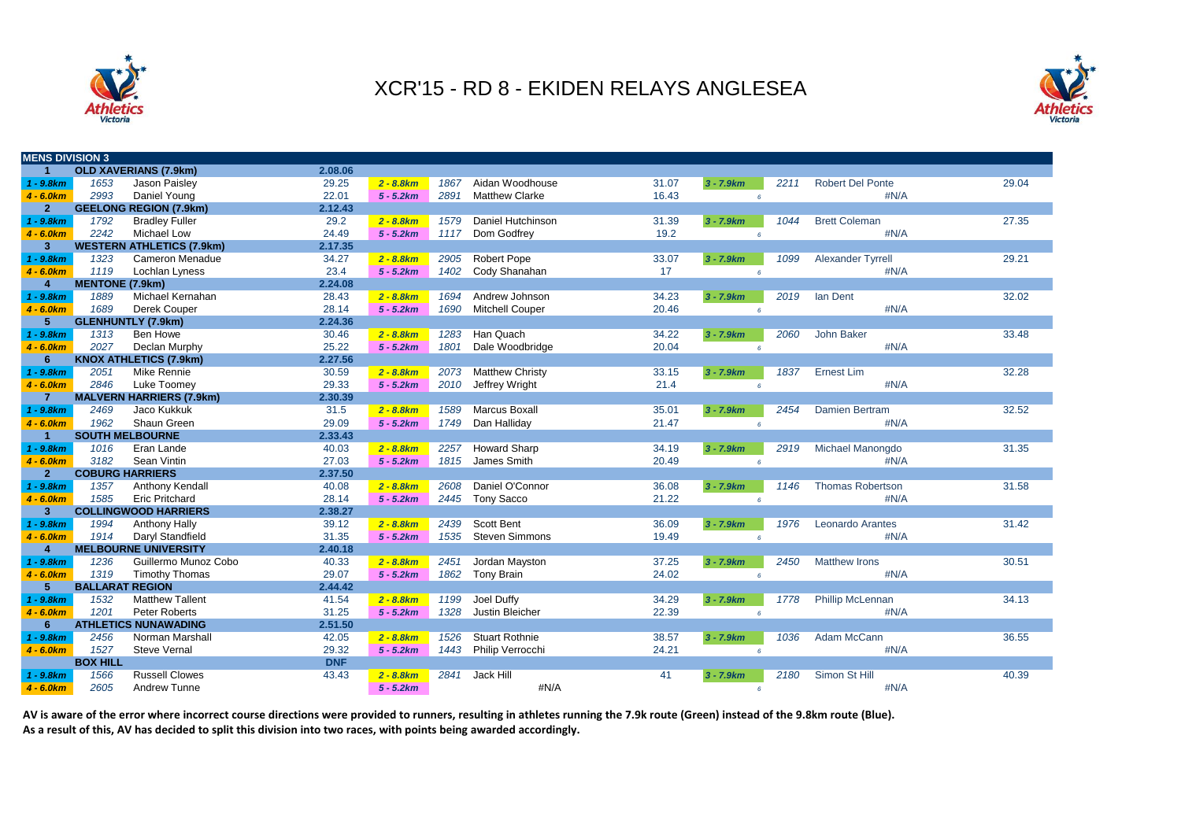



| <b>MENS DIVISION 3</b> |                        |                                  |            |              |      |                        |       |                 |      |                          |       |
|------------------------|------------------------|----------------------------------|------------|--------------|------|------------------------|-------|-----------------|------|--------------------------|-------|
| $\mathbf{1}$           |                        | <b>OLD XAVERIANS (7.9km)</b>     | 2.08.06    |              |      |                        |       |                 |      |                          |       |
| $1 - 9.8km$            | 1653                   | Jason Paisley                    | 29.25      | $2 - 8.8 km$ | 1867 | Aidan Woodhouse        | 31.07 | $3 - 7.9 km$    | 2211 | <b>Robert Del Ponte</b>  | 29.04 |
| $4 - 6.0km$            | 2993                   | Daniel Young                     | 22.01      | $5 - 5.2km$  | 2891 | <b>Matthew Clarke</b>  | 16.43 | 6               |      | #N/A                     |       |
| 2 <sup>1</sup>         |                        | <b>GEELONG REGION (7.9km)</b>    | 2.12.43    |              |      |                        |       |                 |      |                          |       |
| $1 - 9.8km$            | 1792                   | <b>Bradley Fuller</b>            | 29.2       | $2 - 8.8 km$ | 1579 | Daniel Hutchinson      | 31.39 | $3 - 7.9km$     | 1044 | <b>Brett Coleman</b>     | 27.35 |
| $4 - 6.0km$            | 2242                   | <b>Michael Low</b>               | 24.49      | $5 - 5.2km$  | 1117 | Dom Godfrey            | 19.2  | $6^{\circ}$     |      | #N/A                     |       |
| 3 <sup>1</sup>         |                        | <b>WESTERN ATHLETICS (7.9km)</b> | 2.17.35    |              |      |                        |       |                 |      |                          |       |
| $1 - 9.8km$            | 1323                   | Cameron Menadue                  | 34.27      | $2 - 8.8 km$ | 2905 | Robert Pope            | 33.07 | $3 - 7.9 km$    | 1099 | <b>Alexander Tyrrell</b> | 29.21 |
| $4 - 6.0km$            | 1119                   | Lochlan Lyness                   | 23.4       | $5 - 5.2km$  | 1402 | Cody Shanahan          | 17    | $\epsilon$      |      | #N/A                     |       |
| $\overline{4}$         | <b>MENTONE (7.9km)</b> |                                  | 2.24.08    |              |      |                        |       |                 |      |                          |       |
| $1 - 9.8km$            | 1889                   | Michael Kernahan                 | 28.43      | $2 - 8.8 km$ | 1694 | Andrew Johnson         | 34.23 | $3 - 7.9 km$    | 2019 | lan Dent                 | 32.02 |
| $4 - 6.0km$            | 1689                   | Derek Couper                     | 28.14      | $5 - 5.2km$  | 1690 | <b>Mitchell Couper</b> | 20.46 | $6\overline{6}$ |      | #N/A                     |       |
| 5 <sup>5</sup>         |                        | <b>GLENHUNTLY (7.9km)</b>        | 2.24.36    |              |      |                        |       |                 |      |                          |       |
| $1 - 9.8km$            | 1313                   | Ben Howe                         | 30.46      | $2 - 8.8 km$ | 1283 | Han Quach              | 34.22 | $3 - 7.9km$     | 2060 | John Baker               | 33.48 |
| $4 - 6.0km$            | 2027                   | Declan Murphy                    | 25.22      | $5 - 5.2km$  | 1801 | Dale Woodbridge        | 20.04 | 6               |      | #N/A                     |       |
| 6                      |                        | <b>KNOX ATHLETICS (7.9km)</b>    | 2.27.56    |              |      |                        |       |                 |      |                          |       |
| $1 - 9.8km$            | 2051                   | Mike Rennie                      | 30.59      | $2 - 8.8 km$ | 2073 | <b>Matthew Christy</b> | 33.15 | $3 - 7.9 km$    | 1837 | <b>Ernest Lim</b>        | 32.28 |
| $4 - 6.0km$            | 2846                   | Luke Toomey                      | 29.33      | $5 - 5.2km$  | 2010 | Jeffrey Wright         | 21.4  | $6^{\circ}$     |      | #N/A                     |       |
| $\overline{7}$         |                        | <b>MALVERN HARRIERS (7.9km)</b>  | 2.30.39    |              |      |                        |       |                 |      |                          |       |
| $1 - 9.8km$            | 2469                   | Jaco Kukkuk                      | 31.5       | $2 - 8.8 km$ | 1589 | Marcus Boxall          | 35.01 | $3 - 7.9 km$    | 2454 | Damien Bertram           | 32.52 |
| $4 - 6.0km$            | 1962                   | Shaun Green                      | 29.09      | $5 - 5.2km$  | 1749 | Dan Halliday           | 21.47 | 6               |      | #N/A                     |       |
| $\mathbf{1}$           |                        | <b>SOUTH MELBOURNE</b>           | 2.33.43    |              |      |                        |       |                 |      |                          |       |
| $1 - 9.8km$            | 1016                   | Eran Lande                       | 40.03      | $2 - 8.8 km$ | 2257 | <b>Howard Sharp</b>    | 34.19 | $3 - 7.9 km$    | 2919 | Michael Manongdo         | 31.35 |
| $4 - 6.0km$            | 3182                   | Sean Vintin                      | 27.03      | $5 - 5.2km$  | 1815 | James Smith            | 20.49 | 6               |      | #N/A                     |       |
| 2 <sup>2</sup>         | <b>COBURG HARRIERS</b> |                                  | 2.37.50    |              |      |                        |       |                 |      |                          |       |
| $1 - 9.8km$            | 1357                   | Anthony Kendall                  | 40.08      | $2 - 8.8 km$ | 2608 | Daniel O'Connor        | 36.08 | $3 - 7.9 km$    | 1146 | <b>Thomas Robertson</b>  | 31.58 |
| $4 - 6.0km$            | 1585                   | <b>Eric Pritchard</b>            | 28.14      | $5 - 5.2km$  | 2445 | <b>Tony Sacco</b>      | 21.22 | 6               |      | #N/A                     |       |
| $\mathbf{3}$           |                        | <b>COLLINGWOOD HARRIERS</b>      | 2.38.27    |              |      |                        |       |                 |      |                          |       |
| $1 - 9.8km$            | 1994                   | <b>Anthony Hally</b>             | 39.12      | $2 - 8.8 km$ | 2439 | <b>Scott Bent</b>      | 36.09 | $3 - 7.9 km$    | 1976 | <b>Leonardo Arantes</b>  | 31.42 |
| $4 - 6.0km$            | 1914                   | Daryl Standfield                 | 31.35      | $5 - 5.2km$  | 1535 | <b>Steven Simmons</b>  | 19.49 | $6\overline{6}$ |      | #N/A                     |       |
| 4                      |                        | <b>MELBOURNE UNIVERSITY</b>      | 2.40.18    |              |      |                        |       |                 |      |                          |       |
| $1 - 9.8km$            | 1236                   | Guillermo Munoz Cobo             | 40.33      | $2 - 8.8 km$ | 2451 | Jordan Mayston         | 37.25 | $3 - 7.9km$     | 2450 | <b>Matthew Irons</b>     | 30.51 |
| $4 - 6.0km$            | 1319                   | <b>Timothy Thomas</b>            | 29.07      | $5 - 5.2km$  | 1862 | <b>Tony Brain</b>      | 24.02 | $6^{\circ}$     |      | #N/A                     |       |
| 5                      | <b>BALLARAT REGION</b> |                                  | 2.44.42    |              |      |                        |       |                 |      |                          |       |
| $1 - 9.8km$            | 1532                   | <b>Matthew Tallent</b>           | 41.54      | $2 - 8.8 km$ | 1199 | Joel Duffy             | 34.29 | $3 - 7.9 km$    | 1778 | <b>Phillip McLennan</b>  | 34.13 |
| $4 - 6.0km$            | 1201                   | Peter Roberts                    | 31.25      | $5 - 5.2km$  | 1328 | Justin Bleicher        | 22.39 | 6               |      | #N/A                     |       |
| 6                      |                        | <b>ATHLETICS NUNAWADING</b>      | 2.51.50    |              |      |                        |       |                 |      |                          |       |
| $1 - 9.8km$            | 2456                   | Norman Marshall                  | 42.05      | $2 - 8.8 km$ | 1526 | <b>Stuart Rothnie</b>  | 38.57 | $3 - 7.9 km$    | 1036 | Adam McCann              | 36.55 |
| $4 - 6.0km$            | 1527                   | <b>Steve Vernal</b>              | 29.32      | $5 - 5.2km$  | 1443 | Philip Verrocchi       | 24.21 | 6               |      | #N/A                     |       |
|                        | <b>BOX HILL</b>        |                                  | <b>DNF</b> |              |      |                        |       |                 |      |                          |       |
| $1 - 9.8km$            | 1566                   | <b>Russell Clowes</b>            | 43.43      | $2 - 8.8 km$ | 2841 | Jack Hill              | 41    | $3 - 7.9 km$    | 2180 | Simon St Hill            | 40.39 |
| $4 - 6.0 km$           | 2605                   | Andrew Tunne                     |            | $5 - 5.2km$  |      | #N/A                   |       | 6               |      | #N/A                     |       |

AV is aware of the error where incorrect course directions were provided to runners, resulting in athletes running the 7.9k route (Green) instead of the 9.8km route (Blue). **As a result of this, AV has decided to split this division into two races, with points being awarded accordingly.**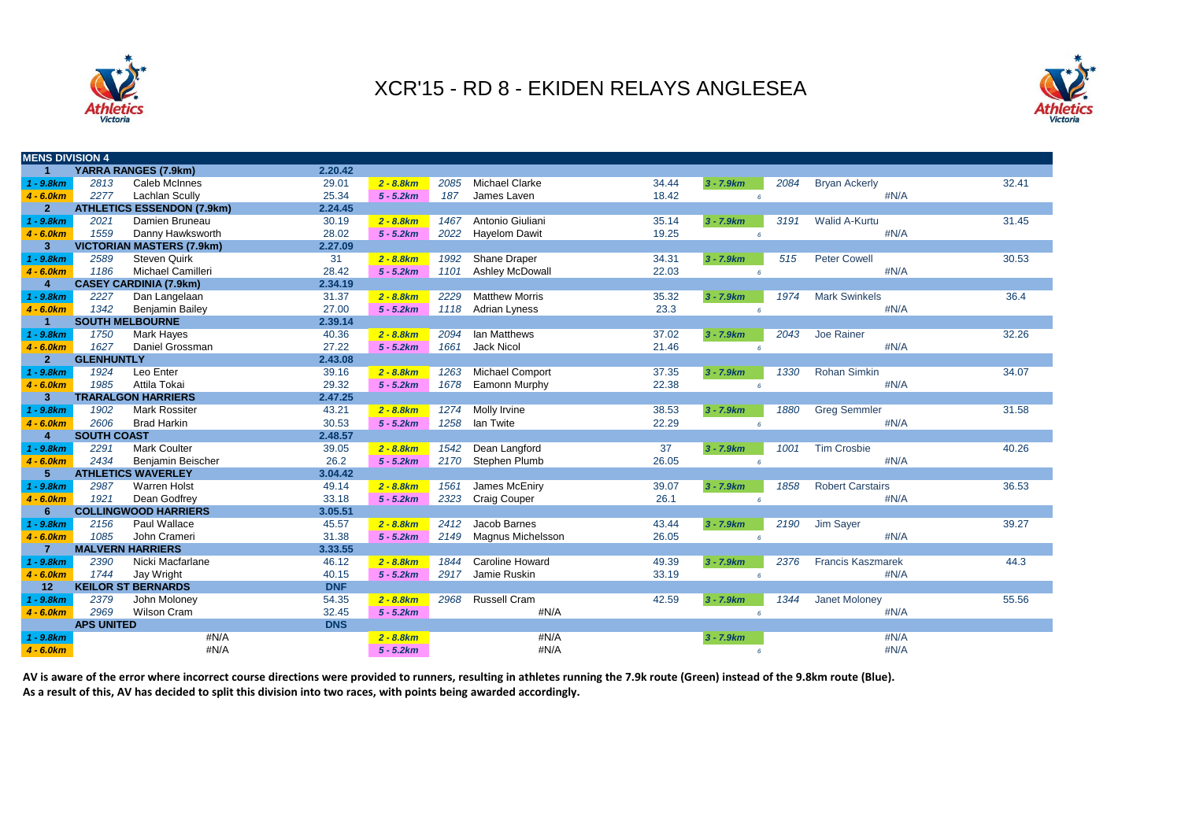



| <b>MENS DIVISION 4</b> |                    |                                   |            |              |      |                          |       |                 |      |                          |       |
|------------------------|--------------------|-----------------------------------|------------|--------------|------|--------------------------|-------|-----------------|------|--------------------------|-------|
|                        |                    | YARRA RANGES (7.9km)              | 2.20.42    |              |      |                          |       |                 |      |                          |       |
| $1 - 9.8km$            | 2813               | Caleb McInnes                     | 29.01      | $2 - 8.8 km$ | 2085 | <b>Michael Clarke</b>    | 34.44 | $3 - 7.9 km$    | 2084 | <b>Bryan Ackerly</b>     | 32.41 |
| $4 - 6.0km$            | 2277               | <b>Lachlan Scully</b>             | 25.34      | $5 - 5.2km$  | 187  | James Laven              | 18.42 | $\epsilon$      |      | #N/A                     |       |
| $\overline{2}$         |                    | <b>ATHLETICS ESSENDON (7.9km)</b> | 2.24.45    |              |      |                          |       |                 |      |                          |       |
| $1 - 9.8km$            | 2021               | Damien Bruneau                    | 30.19      | $2 - 8.8 km$ | 1467 | Antonio Giuliani         | 35.14 | $3 - 7.9km$     | 3191 | <b>Walid A-Kurtu</b>     | 31.45 |
| $4 - 6.0km$            | 1559               | Danny Hawksworth                  | 28.02      | $5 - 5.2km$  | 2022 | <b>Hayelom Dawit</b>     | 19.25 | 6               |      | #N/A                     |       |
| 3 <sup>2</sup>         |                    | <b>VICTORIAN MASTERS (7.9km)</b>  | 2.27.09    |              |      |                          |       |                 |      |                          |       |
| $1 - 9.8km$            | 2589               | <b>Steven Quirk</b>               | 31         | $2 - 8.8 km$ | 1992 | Shane Draper             | 34.31 | $3 - 7.9km$     | 515  | <b>Peter Cowell</b>      | 30.53 |
| $4 - 6.0km$            | 1186               | Michael Camilleri                 | 28.42      | $5 - 5.2km$  | 1101 | Ashley McDowall          | 22.03 | $\epsilon$      |      | #N/A                     |       |
| $\boldsymbol{A}$       |                    | <b>CASEY CARDINIA (7.9km)</b>     | 2.34.19    |              |      |                          |       |                 |      |                          |       |
| $1 - 9.8km$            | 2227               | Dan Langelaan                     | 31.37      | $2 - 8.8 km$ | 2229 | <b>Matthew Morris</b>    | 35.32 | $3 - 7.9 km$    | 1974 | <b>Mark Swinkels</b>     | 36.4  |
| $4 - 6.0km$            | 1342               | <b>Benjamin Bailey</b>            | 27.00      | $5 - 5.2km$  | 1118 | <b>Adrian Lyness</b>     | 23.3  | $6^{\circ}$     |      | #N/A                     |       |
|                        |                    | <b>SOUTH MELBOURNE</b>            | 2.39.14    |              |      |                          |       |                 |      |                          |       |
| $1 - 9.8km$            | 1750               | <b>Mark Hayes</b>                 | 40.36      | $2 - 8.8 km$ | 2094 | lan Matthews             | 37.02 | $3 - 7.9km$     | 2043 | Joe Rainer               | 32.26 |
| $4 - 6.0km$            | 1627               | Daniel Grossman                   | 27.22      | $5 - 5.2km$  | 1661 | <b>Jack Nicol</b>        | 21.46 | $\epsilon$      |      | #N/A                     |       |
| 2 <sup>1</sup>         | <b>GLENHUNTLY</b>  |                                   | 2.43.08    |              |      |                          |       |                 |      |                          |       |
| $1 - 9.8km$            | 1924               | Leo Enter                         | 39.16      | $2 - 8.8 km$ | 1263 | <b>Michael Comport</b>   | 37.35 | $3 - 7.9 km$    | 1330 | Rohan Simkin             | 34.07 |
| $4 - 6.0km$            | 1985               | Attila Tokai                      | 29.32      | $5 - 5.2km$  | 1678 | Eamonn Murphy            | 22.38 | $6^{\circ}$     |      | #N/A                     |       |
| $\mathbf{3}$           |                    | <b>TRARALGON HARRIERS</b>         | 2.47.25    |              |      |                          |       |                 |      |                          |       |
| $1 - 9.8km$            | 1902               | <b>Mark Rossiter</b>              | 43.21      | $2 - 8.8 km$ | 1274 | Molly Irvine             | 38.53 | $3 - 7.9km$     | 1880 | <b>Greg Semmler</b>      | 31.58 |
| $4 - 6.0km$            | 2606               | <b>Brad Harkin</b>                | 30.53      | $5 - 5.2km$  | 1258 | lan Twite                | 22.29 | $6^{\circ}$     |      | #N/A                     |       |
| 4                      | <b>SOUTH COAST</b> |                                   | 2.48.57    |              |      |                          |       |                 |      |                          |       |
| $1 - 9.8km$            | 2291               | <b>Mark Coulter</b>               | 39.05      | $2 - 8.8 km$ | 1542 | Dean Langford            | 37    | $3 - 7.9 km$    | 1001 | <b>Tim Crosbie</b>       | 40.26 |
| $4 - 6.0km$            | 2434               | Benjamin Beischer                 | 26.2       | $5 - 5.2km$  | 2170 | Stephen Plumb            | 26.05 | 6               |      | #N/A                     |       |
| 5.                     |                    | <b>ATHLETICS WAVERLEY</b>         | 3.04.42    |              |      |                          |       |                 |      |                          |       |
| $1 - 9.8km$            | 2987               | <b>Warren Holst</b>               | 49.14      | $2 - 8.8 km$ | 1561 | James McEniry            | 39.07 | $3 - 7.9 km$    | 1858 | <b>Robert Carstairs</b>  | 36.53 |
| $4 - 6.0km$            | 1921               | Dean Godfrey                      | 33.18      | $5 - 5.2km$  | 2323 | <b>Craig Couper</b>      | 26.1  | $6\overline{6}$ |      | #N/A                     |       |
| 6                      |                    | <b>COLLINGWOOD HARRIERS</b>       | 3.05.51    |              |      |                          |       |                 |      |                          |       |
| $1 - 9.8km$            | 2156               | Paul Wallace                      | 45.57      | $2 - 8.8 km$ | 2412 | Jacob Barnes             | 43.44 | $3 - 7.9km$     | 2190 | Jim Sayer                | 39.27 |
| $4 - 6.0km$            | 1085               | John Crameri                      | 31.38      | $5 - 5.2km$  | 2149 | <b>Magnus Michelsson</b> | 26.05 | $6^{\circ}$     |      | #N/A                     |       |
|                        |                    | <b>MALVERN HARRIERS</b>           | 3.33.55    |              |      |                          |       |                 |      |                          |       |
| $1 - 9.8km$            | 2390               | Nicki Macfarlane                  | 46.12      | $2 - 8.8 km$ | 1844 | <b>Caroline Howard</b>   | 49.39 | $3 - 7.9 km$    | 2376 | <b>Francis Kaszmarek</b> | 44.3  |
| $4 - 6.0km$            | 1744               | Jay Wright                        | 40.15      | $5 - 5.2km$  | 2917 | Jamie Ruskin             | 33.19 | $6^{\circ}$     |      | #N/A                     |       |
| 12                     |                    | <b>KEILOR ST BERNARDS</b>         | <b>DNF</b> |              |      |                          |       |                 |      |                          |       |
| $1 - 9.8km$            | 2379               | John Moloney                      | 54.35      | $2 - 8.8 km$ | 2968 | Russell Cram             | 42.59 | $3 - 7.9 km$    | 1344 | Janet Moloney            | 55.56 |
| $4 - 6.0km$            | 2969               | <b>Wilson Cram</b>                | 32.45      | $5 - 5.2km$  |      | #N/A                     |       | $\epsilon$      |      | #N/A                     |       |
|                        | <b>APS UNITED</b>  |                                   | <b>DNS</b> |              |      |                          |       |                 |      |                          |       |
| $1 - 9.8km$            |                    | #N/A                              |            | $2 - 8.8 km$ |      | #N/A                     |       | $3 - 7.9km$     |      | #N/A                     |       |
| $4 - 6.0 km$           |                    | #N/A                              |            | $5 - 5.2km$  |      | #N/A                     |       | 6               |      | #N/A                     |       |

**AV is aware of the error where incorrect course directions were provided to runners, resulting in athletes running the 7.9k route (Green) instead of the 9.8km route (Blue). As a result of this, AV has decided to split this division into two races, with points being awarded accordingly.**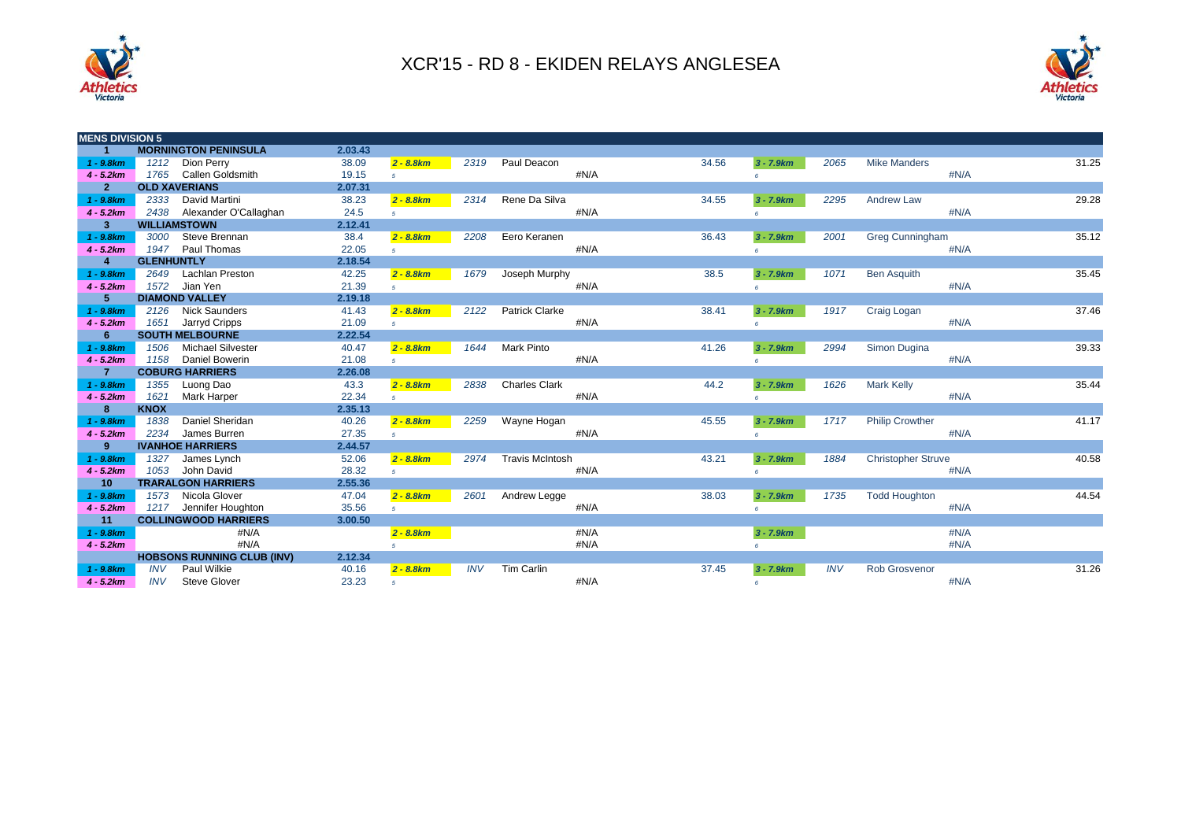



| <b>MENS DIVISION 5</b> |                      |                                   |         |                |            |                        |      |       |             |            |                           |      |       |
|------------------------|----------------------|-----------------------------------|---------|----------------|------------|------------------------|------|-------|-------------|------------|---------------------------|------|-------|
| 1                      |                      | <b>MORNINGTON PENINSULA</b>       | 2.03.43 |                |            |                        |      |       |             |            |                           |      |       |
| $1 - 9.8km$            |                      | 1212 Dion Perry                   | 38.09   | $2 - 8.8 km$   | 2319       | Paul Deacon            |      | 34.56 | $3 - 7.9km$ | 2065       | <b>Mike Manders</b>       |      | 31.25 |
| $4 - 5.2km$            |                      | 1765 Callen Goldsmith             | 19.15   | 5 <sup>1</sup> |            |                        | #N/A |       |             |            |                           | #N/A |       |
| $\overline{2}$         | <b>OLD XAVERIANS</b> |                                   | 2.07.31 |                |            |                        |      |       |             |            |                           |      |       |
| $1 - 9.8km$            | 2333                 | David Martini                     | 38.23   | $2 - 8.8 km$   | 2314       | Rene Da Silva          |      | 34.55 | $3 - 7.9km$ | 2295       | <b>Andrew Law</b>         |      | 29.28 |
| $4 - 5.2km$            | 2438                 | Alexander O'Callaghan             | 24.5    | 5 <sup>1</sup> |            |                        | #N/A |       | $\epsilon$  |            |                           | #N/A |       |
| $\mathbf{3}$           | <b>WILLIAMSTOWN</b>  |                                   | 2.12.41 |                |            |                        |      |       |             |            |                           |      |       |
| $1 - 9.8km$            | 3000                 | Steve Brennan                     | 38.4    | $2 - 8.8 km$   | 2208       | Eero Keranen           |      | 36.43 | $3 - 7.9km$ | 2001       | <b>Greg Cunningham</b>    |      | 35.12 |
| $4 - 5.2km$            | 1947                 | Paul Thomas                       | 22.05   | 5 <sup>1</sup> |            |                        | #N/A |       | $\epsilon$  |            |                           | #N/A |       |
| $\overline{4}$         | <b>GLENHUNTLY</b>    |                                   | 2.18.54 |                |            |                        |      |       |             |            |                           |      |       |
| $1 - 9.8 km$           | 2649                 | <b>Lachlan Preston</b>            | 42.25   | $2 - 8.8 km$   | 1679       | Joseph Murphy          |      | 38.5  | $3 - 7.9km$ | 1071       | <b>Ben Asquith</b>        |      | 35.45 |
| $4 - 5.2km$            | 1572                 | Jian Yen                          | 21.39   | $5-1$          |            |                        | #N/A |       | $\epsilon$  |            |                           | #N/A |       |
| 5                      |                      | <b>DIAMOND VALLEY</b>             | 2.19.18 |                |            |                        |      |       |             |            |                           |      |       |
| $1 - 9.8 km$           | 2126                 | <b>Nick Saunders</b>              | 41.43   | $2 - 8.8 km$   | 2122       | <b>Patrick Clarke</b>  |      | 38.41 | $3 - 7.9km$ | 1917       | Craig Logan               |      | 37.46 |
| $4 - 5.2km$            | 1651                 | Jarryd Cripps                     | 21.09   | 5 <sup>1</sup> |            |                        | #N/A |       | $\epsilon$  |            |                           | #N/A |       |
| 6                      |                      | <b>SOUTH MELBOURNE</b>            | 2.22.54 |                |            |                        |      |       |             |            |                           |      |       |
| $1 - 9.8 km$           | 1506                 | <b>Michael Silvester</b>          | 40.47   | $2 - 8.8 km$   | 1644       | <b>Mark Pinto</b>      |      | 41.26 | $3 - 7.9km$ | 2994       | Simon Dugina              |      | 39.33 |
| $4 - 5.2km$            | 1158                 | Daniel Bowerin                    | 21.08   | $5-1$          |            |                        | #N/A |       | $\epsilon$  |            |                           | #N/A |       |
| $\overline{7}$         |                      | <b>COBURG HARRIERS</b>            | 2.26.08 |                |            |                        |      |       |             |            |                           |      |       |
| $1 - 9.8 km$           | 1355                 | Luong Dao                         | 43.3    | $2 - 8.8 km$   | 2838       | <b>Charles Clark</b>   |      | 44.2  | $3 - 7.9km$ | 1626       | <b>Mark Kelly</b>         |      | 35.44 |
| $4 - 5.2km$            | 1621                 | <b>Mark Harper</b>                | 22.34   | $5-1$          |            |                        | #N/A |       | $\epsilon$  |            |                           | #N/A |       |
| 8                      | <b>KNOX</b>          |                                   | 2.35.13 |                |            |                        |      |       |             |            |                           |      |       |
| $1 - 9.8km$            | 1838                 | Daniel Sheridan                   | 40.26   | $2 - 8.8$ km   | 2259       | Wayne Hogan            |      | 45.55 | $3 - 7.9km$ | 1717       | <b>Philip Crowther</b>    |      | 41.17 |
| $4 - 5.2km$            | 2234                 | James Burren                      | 27.35   | 5 <sup>1</sup> |            |                        | #N/A |       | $\epsilon$  |            |                           | #N/A |       |
| 9                      |                      | <b>IVANHOE HARRIERS</b>           | 2.44.57 |                |            |                        |      |       |             |            |                           |      |       |
| $1 - 9.8km$            | 1327                 | James Lynch                       | 52.06   | $2 - 8.8 km$   | 2974       | <b>Travis McIntosh</b> |      | 43.21 | $3 - 7.9km$ | 1884       | <b>Christopher Struve</b> |      | 40.58 |
| $4 - 5.2km$            | 1053                 | John David                        | 28.32   | 5 <sup>1</sup> |            |                        | #N/A |       | $\epsilon$  |            |                           | #N/A |       |
| 10                     |                      | <b>TRARALGON HARRIERS</b>         | 2.55.36 |                |            |                        |      |       |             |            |                           |      |       |
| $1 - 9.8km$            | 1573                 | Nicola Glover                     | 47.04   | $2 - 8.8 km$   | 2601       | Andrew Legge           |      | 38.03 | $3 - 7.9km$ | 1735       | <b>Todd Houghton</b>      |      | 44.54 |
| $4 - 5.2km$            |                      | 1217 Jennifer Houghton            | 35.56   | 5 <sup>1</sup> |            |                        | #N/A |       |             |            |                           | #N/A |       |
| 11                     |                      | <b>COLLINGWOOD HARRIERS</b>       | 3.00.50 |                |            |                        |      |       |             |            |                           |      |       |
| $1 - 9.8km$            |                      | #N/A                              |         | $2 - 8.8 km$   |            |                        | #N/A |       | $3 - 7.9km$ |            |                           | #N/A |       |
| $4 - 5.2km$            |                      | #N/A                              |         | 5 <sup>1</sup> |            |                        | #N/A |       |             |            |                           | #N/A |       |
|                        |                      | <b>HOBSONS RUNNING CLUB (INV)</b> | 2.12.34 |                |            |                        |      |       |             |            |                           |      |       |
| $1 - 9.8km$            | <b>INV</b>           | Paul Wilkie                       | 40.16   | $2 - 8.8 km$   | <b>INV</b> | Tim Carlin             |      | 37.45 | $3 - 7.9km$ | <b>INV</b> | <b>Rob Grosvenor</b>      |      | 31.26 |
| $4 - 5.2km$            | <b>INV</b>           | <b>Steve Glover</b>               | 23.23   | $5^{\circ}$    |            |                        | #N/A |       | $\epsilon$  |            |                           | #N/A |       |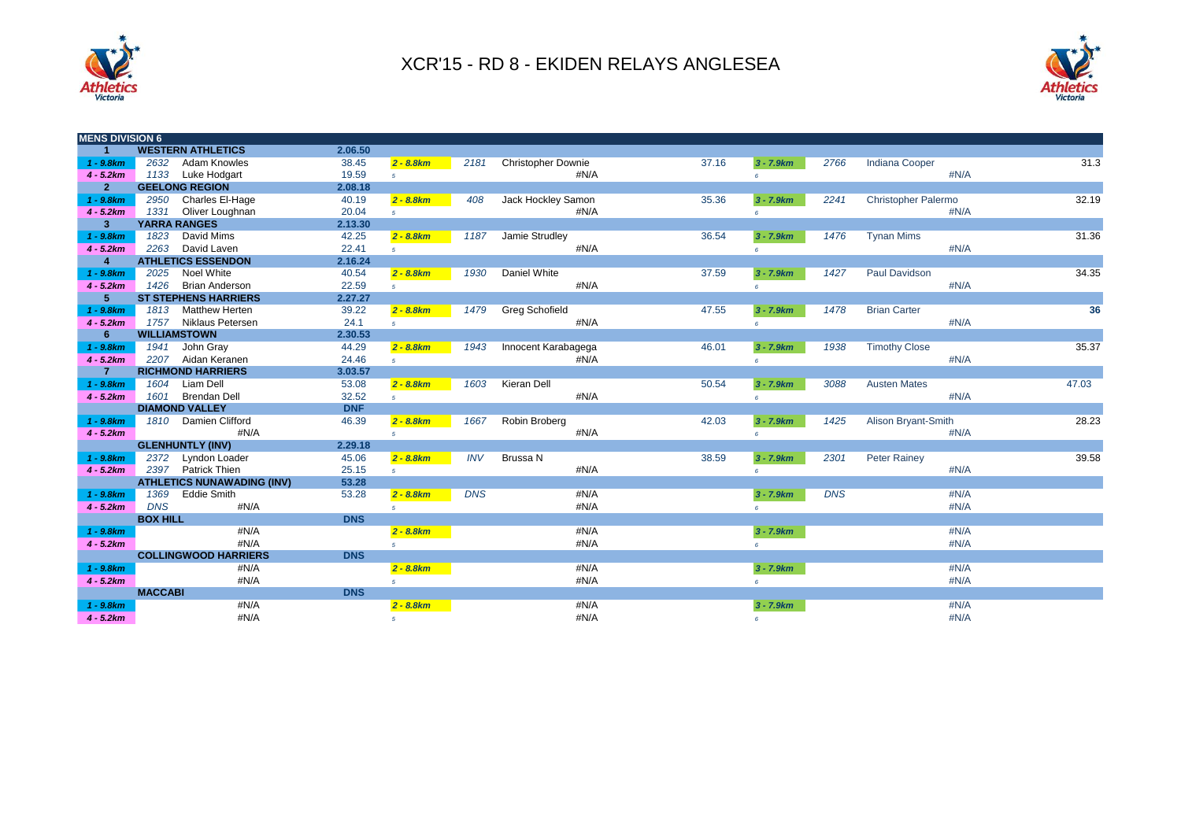



| <b>MENS DIVISION 6</b> |                 |                                   |            |                |            |                           |       |                |            |                            |      |       |
|------------------------|-----------------|-----------------------------------|------------|----------------|------------|---------------------------|-------|----------------|------------|----------------------------|------|-------|
| $\blacktriangleleft$   |                 | <b>WESTERN ATHLETICS</b>          | 2.06.50    |                |            |                           |       |                |            |                            |      |       |
| $1 - 9.8km$            | 2632            | <b>Adam Knowles</b>               | 38.45      | $2 - 8.8 km$   | 2181       | <b>Christopher Downie</b> | 37.16 | $3 - 7.9km$    | 2766       | <b>Indiana Cooper</b>      |      | 31.3  |
| $4 - 5.2km$            |                 | 1133 Luke Hodgart                 | 19.59      | 5 <sup>1</sup> |            | #N/A                      |       | $\epsilon$     |            |                            | #N/A |       |
| 2 <sup>1</sup>         |                 | <b>GEELONG REGION</b>             | 2.08.18    |                |            |                           |       |                |            |                            |      |       |
| $1 - 9.8 km$           |                 | 2950 Charles El-Hage              | 40.19      | $2 - 8.8 km$   | 408        | Jack Hockley Samon        | 35.36 | $3 - 7.9 km$   | 2241       | <b>Christopher Palermo</b> |      | 32.19 |
| $4 - 5.2km$            |                 | 1331 Oliver Loughnan              | 20.04      | $5-1$          |            | #N/A                      |       | 6              |            |                            | #N/A |       |
| $3\phantom{.0}$        |                 | <b>YARRA RANGES</b>               | 2.13.30    |                |            |                           |       |                |            |                            |      |       |
| $1 - 9.8km$            | 1823            | David Mims                        | 42.25      | $2 - 8.8 km$   | 1187       | Jamie Strudley            | 36.54 | $3 - 7.9 km$   | 1476       | <b>Tynan Mims</b>          |      | 31.36 |
| $4 - 5.2km$            |                 | 2263 David Laven                  | 22.41      | 5 <sup>1</sup> |            | #N/A                      |       | 6              |            |                            | #N/A |       |
| $\overline{4}$         |                 | <b>ATHLETICS ESSENDON</b>         | 2.16.24    |                |            |                           |       |                |            |                            |      |       |
| $1 - 9.8km$            | 2025            | Noel White                        | 40.54      | $2 - 8.8 km$   | 1930       | Daniel White              | 37.59 | $3 - 7.9km$    | 1427       | Paul Davidson              |      | 34.35 |
| $4 - 5.2km$            | 1426            | <b>Brian Anderson</b>             | 22.59      | $5-1$          |            | #N/A                      |       | 6              |            |                            | #N/A |       |
| 5 <sup>1</sup>         |                 | <b>ST STEPHENS HARRIERS</b>       | 2.27.27    |                |            |                           |       |                |            |                            |      |       |
| $1 - 9.8km$            |                 | 1813 Matthew Herten               | 39.22      | $2 - 8.8 km$   | 1479       | <b>Greg Schofield</b>     | 47.55 | $3 - 7.9 km$   | 1478       | <b>Brian Carter</b>        |      | 36    |
| $4 - 5.2km$            |                 | 1757 Niklaus Petersen             | 24.1       | $5-1$          |            | #N/A                      |       | $\epsilon$     |            |                            | #N/A |       |
| $6\phantom{1}$         |                 | <b>WILLIAMSTOWN</b>               | 2.30.53    |                |            |                           |       |                |            |                            |      |       |
| $1 - 9.8km$            |                 | 1941 John Gray                    | 44.29      | $2 - 8.8 km$   | 1943       | Innocent Karabagega       | 46.01 | $3 - 7.9km$    | 1938       | <b>Timothy Close</b>       |      | 35.37 |
| $4 - 5.2km$            |                 | 2207 Aidan Keranen                | 24.46      | $5-1$          |            | #N/A                      |       | $\epsilon$     |            |                            | #N/A |       |
| $\overline{7}$         |                 | <b>RICHMOND HARRIERS</b>          | 3.03.57    |                |            |                           |       |                |            |                            |      |       |
| $1 - 9.8 km$           |                 | 1604 Liam Dell                    | 53.08      | $2 - 8.8 km$   | 1603       | Kieran Dell               | 50.54 | $3 - 7.9 km$   | 3088       | <b>Austen Mates</b>        |      | 47.03 |
| $4 - 5.2km$            | 1601            | <b>Brendan Dell</b>               | 32.52      | $5-1$          |            | #N/A                      |       | 6              |            |                            | #N/A |       |
|                        |                 | <b>DIAMOND VALLEY</b>             | <b>DNF</b> |                |            |                           |       |                |            |                            |      |       |
| $1 - 9.8km$            |                 | 1810 Damien Clifford              | 46.39      | $2 - 8.8 km$   | 1667       | Robin Broberg             | 42.03 | $3 - 7.9km$    | 1425       | Alison Bryant-Smith        |      | 28.23 |
| $4 - 5.2km$            |                 | #N/A                              |            | 5 <sup>1</sup> |            | #N/A                      |       | 6              |            |                            | #N/A |       |
|                        |                 | <b>GLENHUNTLY (INV)</b>           | 2.29.18    |                |            |                           |       |                |            |                            |      |       |
| $1 - 9.8km$            |                 | 2372 Lyndon Loader                | 45.06      | $2 - 8.8 km$   | <b>INV</b> | Brussa N                  | 38.59 | $3 - 7.9 km$   | 2301       | <b>Peter Rainey</b>        |      | 39.58 |
| $4 - 5.2km$            | 2397            | <b>Patrick Thien</b>              | 25.15      | 5 <sup>5</sup> |            | #N/A                      |       | 6              |            |                            | #N/A |       |
|                        |                 | <b>ATHLETICS NUNAWADING (INV)</b> | 53.28      |                |            |                           |       |                |            |                            |      |       |
| $1 - 9.8km$            | 1369            | <b>Eddie Smith</b>                | 53.28      | $2 - 8.8 km$   | <b>DNS</b> | #N/A                      |       | $3 - 7.9 km$   | <b>DNS</b> |                            | #N/A |       |
| $4 - 5.2km$            | <b>DNS</b>      | #N/A                              |            | 5 <sup>1</sup> |            | #N/A                      |       | 6              |            |                            | #N/A |       |
|                        | <b>BOX HILL</b> |                                   | <b>DNS</b> |                |            |                           |       |                |            |                            |      |       |
| $1 - 9.8$ km           |                 | #N/A                              |            | $2 - 8.8 km$   |            | #N/A                      |       | $3 - 7.9km$    |            |                            | #N/A |       |
| $4 - 5.2km$            |                 | #N/A                              |            | 5 <sup>1</sup> |            | #N/A                      |       | 6              |            |                            | #N/A |       |
|                        |                 | <b>COLLINGWOOD HARRIERS</b>       | <b>DNS</b> |                |            |                           |       |                |            |                            |      |       |
| $1 - 9.8km$            |                 | #N/A                              |            | $2 - 8.8 km$   |            | #N/A                      |       | $3 - 7.9 km$   |            |                            | #N/A |       |
| $4 - 5.2km$            |                 | #N/A                              |            | 5 <sup>1</sup> |            | #N/A                      |       | 6 <sup>1</sup> |            |                            | #N/A |       |
|                        | <b>MACCABI</b>  |                                   | <b>DNS</b> |                |            |                           |       |                |            |                            |      |       |
| $1 - 9.8$ km           |                 | #N/A                              |            | $2 - 8.8 km$   |            | #N/A                      |       | $3 - 7.9 km$   |            |                            | #N/A |       |
| $4 - 5.2km$            |                 | #N/A                              |            | 5 <sup>1</sup> |            | #N/A                      |       | 6              |            |                            | #N/A |       |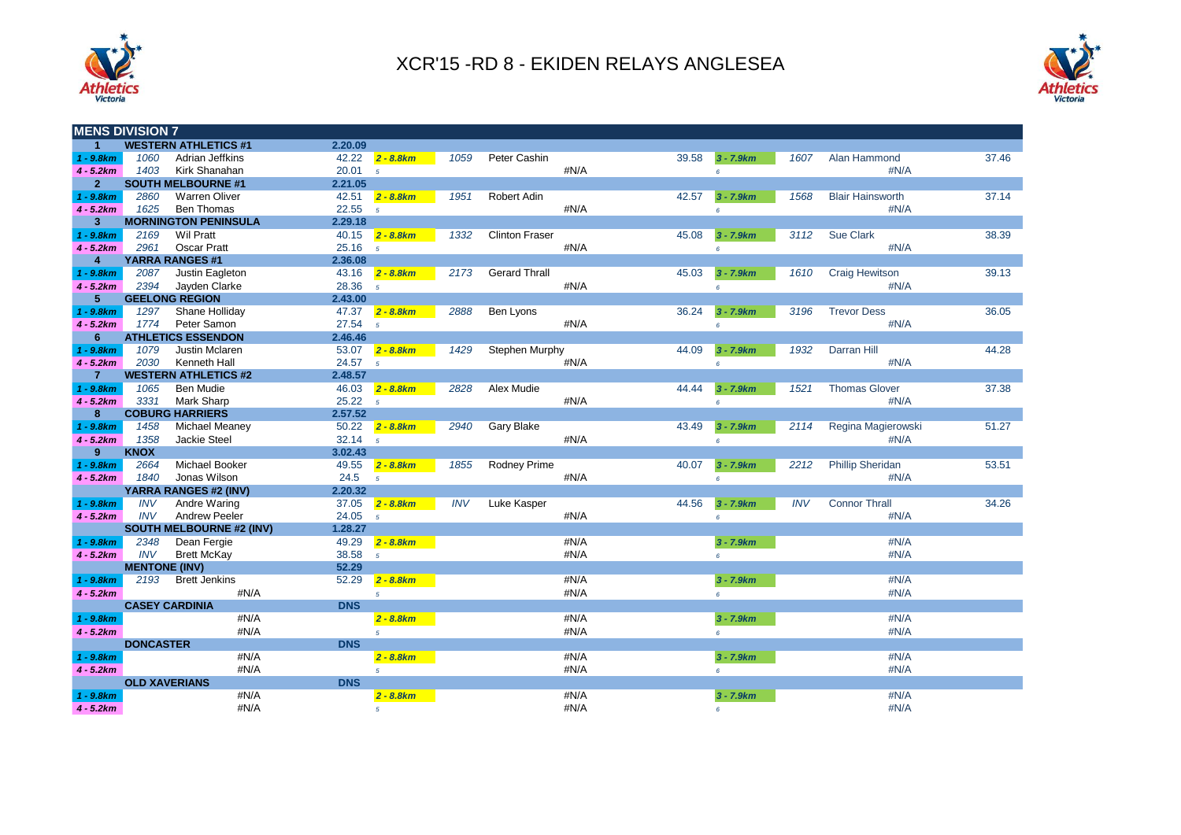



| <b>WESTERN ATHLETICS #1</b><br>$\blacktriangleleft$<br>2.20.09<br>1060<br>$1 - 9.8$ km<br>Adrian Jeffkins<br>42.22<br>1059<br>Peter Cashin<br>$2 - 8.8 km$<br>1403<br>Kirk Shanahan<br>20.01<br>#N/A<br>$4 - 5.2km$<br>$\overline{5}$<br>$\overline{2}$<br><b>SOUTH MELBOURNE #1</b><br>2.21.05 |                                                                              |
|-------------------------------------------------------------------------------------------------------------------------------------------------------------------------------------------------------------------------------------------------------------------------------------------------|------------------------------------------------------------------------------|
|                                                                                                                                                                                                                                                                                                 |                                                                              |
|                                                                                                                                                                                                                                                                                                 | 39.58<br>1607<br>Alan Hammond<br>37.46<br>$3 - 7.9 km$                       |
|                                                                                                                                                                                                                                                                                                 | #N/A<br>6                                                                    |
|                                                                                                                                                                                                                                                                                                 |                                                                              |
| 42.51<br>$1 - 9.8$ km<br>2860<br><b>Warren Oliver</b><br>1951<br>$2 - 8.8 km$<br>Robert Adin                                                                                                                                                                                                    | 42.57<br><b>Blair Hainsworth</b><br>37.14<br>$3 - 7.9 km$<br>1568            |
| 1625<br><b>Ben Thomas</b><br>22.55<br>#N/A<br>$4 - 5.2km$<br>$\overline{5}$                                                                                                                                                                                                                     | #N/A<br>6                                                                    |
| 3<br><b>MORNINGTON PENINSULA</b><br>2.29.18                                                                                                                                                                                                                                                     |                                                                              |
| 40.15<br>$2 - 8.8 km$<br>$1 - 9.8$ km<br>2169<br>Wil Pratt<br><b>Clinton Fraser</b><br>1332                                                                                                                                                                                                     | Sue Clark<br>45.08<br>$3 - 7.9km$<br>3112<br>38.39                           |
| 25.16<br><b>Oscar Pratt</b><br>#N/A<br>$4 - 5.2km$<br>2961<br>$\overline{5}$                                                                                                                                                                                                                    | #N/A<br>6 <sup>1</sup>                                                       |
| $\overline{4}$<br><b>YARRA RANGES #1</b><br>2.36.08                                                                                                                                                                                                                                             |                                                                              |
| Justin Eagleton<br>$1 - 9.8$ km<br>2087<br>43.16<br>$2 - 8.8$ km<br>2173<br><b>Gerard Thrall</b>                                                                                                                                                                                                | 45.03<br><b>Craig Hewitson</b><br>39.13<br>$3 - 7.9km$<br>1610               |
| 2394<br>Jayden Clarke<br>28.36<br>#N/A<br>$4 - 5.2km$<br>5                                                                                                                                                                                                                                      | #N/A<br>6                                                                    |
| 5 <sup>5</sup><br><b>GEELONG REGION</b><br>2.43.00                                                                                                                                                                                                                                              |                                                                              |
| 1297<br>47.37<br>$1 - 9.8$ km<br>Shane Holliday<br>$2 - 8.8$ km<br>2888<br>Ben Lyons                                                                                                                                                                                                            | 36.24<br>3196<br><b>Trevor Dess</b><br>36.05<br>$3 - 7.9km$                  |
| 1774<br>27.54 <sub>5</sub><br>#N/A<br>$4 - 5.2km$<br>Peter Samon                                                                                                                                                                                                                                | #N/A<br>6                                                                    |
| 6<br><b>ATHLETICS ESSENDON</b><br>2.46.46                                                                                                                                                                                                                                                       |                                                                              |
| 1079<br>Justin Mclaren<br>53.07<br>$1 - 9.8km$<br>$2 - 8.8$ km<br>1429<br>Stephen Murphy                                                                                                                                                                                                        | Darran Hill<br>44.09<br>$3 - 7.9km$<br>1932<br>44.28                         |
| 2030<br>$4 - 5.2km$<br><b>Kenneth Hall</b><br>24.57 <sub>5</sub><br>#N/A                                                                                                                                                                                                                        | #N/A<br>6 <sup>1</sup>                                                       |
| $\overline{7}$<br><b>WESTERN ATHLETICS #2</b><br>2.48.57                                                                                                                                                                                                                                        |                                                                              |
| $1 - 9.8$ km<br>1065<br><b>Ben Mudie</b><br>46.03<br>$2 - 8.8 km$<br>2828<br>Alex Mudie                                                                                                                                                                                                         | <b>Thomas Glover</b><br>37.38<br>44.44<br>$3 - 7.9 km$<br>1521               |
| 3331<br><b>Mark Sharp</b><br>25.22<br>#N/A<br>$4 - 5.2km$<br>$5^{\circ}$                                                                                                                                                                                                                        | #N/A<br>$6^{\circ}$                                                          |
| <b>COBURG HARRIERS</b><br>2.57.52<br>8                                                                                                                                                                                                                                                          |                                                                              |
| $1 - 9.8$ km<br>1458<br><b>Michael Meaney</b><br>50.22<br>$2 - 8.8 km$<br>2940<br>Gary Blake                                                                                                                                                                                                    | Regina Magierowski<br>43.49<br>$3 - 7.9km$<br>2114<br>51.27                  |
| 1358<br>Jackie Steel<br>32.14<br>#N/A<br>$4 - 5.2km$<br>$\overline{5}$                                                                                                                                                                                                                          | #N/A<br>6                                                                    |
| 9<br><b>KNOX</b><br>3.02.43                                                                                                                                                                                                                                                                     |                                                                              |
|                                                                                                                                                                                                                                                                                                 |                                                                              |
|                                                                                                                                                                                                                                                                                                 |                                                                              |
| 2664<br><b>Michael Booker</b><br>49.55<br>$1 - 9.8$ km<br>$2 - 8.8$ km<br>1855<br>Rodney Prime                                                                                                                                                                                                  | 40.07<br>2212<br><b>Phillip Sheridan</b><br>53.51<br>$3 - 7.9km$             |
| Jonas Wilson<br>24.5<br>#N/A<br>1840<br>$4 - 5.2km$<br>$\sqrt{5}$                                                                                                                                                                                                                               | #N/A<br>6 <sup>1</sup>                                                       |
| 2.20.32<br>YARRA RANGES #2 (INV)                                                                                                                                                                                                                                                                |                                                                              |
| <b>INV</b><br>37.05<br>$2 - 8.8 km$<br>$1 - 9.8$ km<br>Andre Waring<br><b>INV</b><br>Luke Kasper<br>$4 - 5.2km$<br><b>INV</b><br><b>Andrew Peeler</b><br>#N/A                                                                                                                                   | <b>Connor Thrall</b><br>44.56<br>$3 - 7.9 km$<br><b>INV</b><br>34.26<br>#N/A |
| 24.05<br>$\overline{5}$<br><b>SOUTH MELBOURNE #2 (INV)</b><br>1.28.27                                                                                                                                                                                                                           | 6 <sup>1</sup>                                                               |
| 2348<br>49.29<br>#N/A                                                                                                                                                                                                                                                                           | #N/A                                                                         |
| Dean Fergie<br>$1 - 9.8$ km<br>$2 - 8.8 km$<br><b>INV</b><br>38.58<br>#N/A<br><b>Brett McKay</b><br>$4 - 5.2km$<br>$\overline{5}$                                                                                                                                                               | $3 - 7.9km$<br>#N/A<br>$6^{\circ}$                                           |
| 52.29                                                                                                                                                                                                                                                                                           |                                                                              |
| <b>MENTONE (INV)</b><br>2193<br>52.29                                                                                                                                                                                                                                                           |                                                                              |
| #N/A<br><b>Brett Jenkins</b><br>$1 - 9.8$ km<br>$2 - 8.8 km$<br>#N/A<br>#N/A<br>$4 - 5.2km$<br>5 <sup>1</sup>                                                                                                                                                                                   | #N/A<br>$3 - 7.9km$<br>#N/A<br>$6 -$                                         |
| <b>DNS</b>                                                                                                                                                                                                                                                                                      |                                                                              |
| <b>CASEY CARDINIA</b><br>#N/A<br>#N/A<br>$1 - 9.8$ km<br>$2 - 8.8 km$                                                                                                                                                                                                                           | #N/A<br>$3 - 7.9km$                                                          |
| #N/A<br>#N/A<br>$4 - 5.2km$<br>5 <sup>5</sup>                                                                                                                                                                                                                                                   | #N/A<br>6 <sup>1</sup>                                                       |
| <b>DONCASTER</b><br><b>DNS</b>                                                                                                                                                                                                                                                                  |                                                                              |
| #N/A<br>#N/A<br>$1 - 9.8km$<br>$2 - 8.8 km$                                                                                                                                                                                                                                                     | #N/A<br>$3 - 7.9km$                                                          |
| #N/A<br>#N/A<br>$4 - 5.2km$<br>5 <sub>5</sub>                                                                                                                                                                                                                                                   | #N/A<br>6 <sup>1</sup>                                                       |
| <b>OLD XAVERIANS</b><br><b>DNS</b>                                                                                                                                                                                                                                                              |                                                                              |
| #N/A<br>#N/A<br>$1 - 9.8$ $km$<br>$2 - 8.8 km$                                                                                                                                                                                                                                                  | #N/A<br>$3 - 7.9 km$                                                         |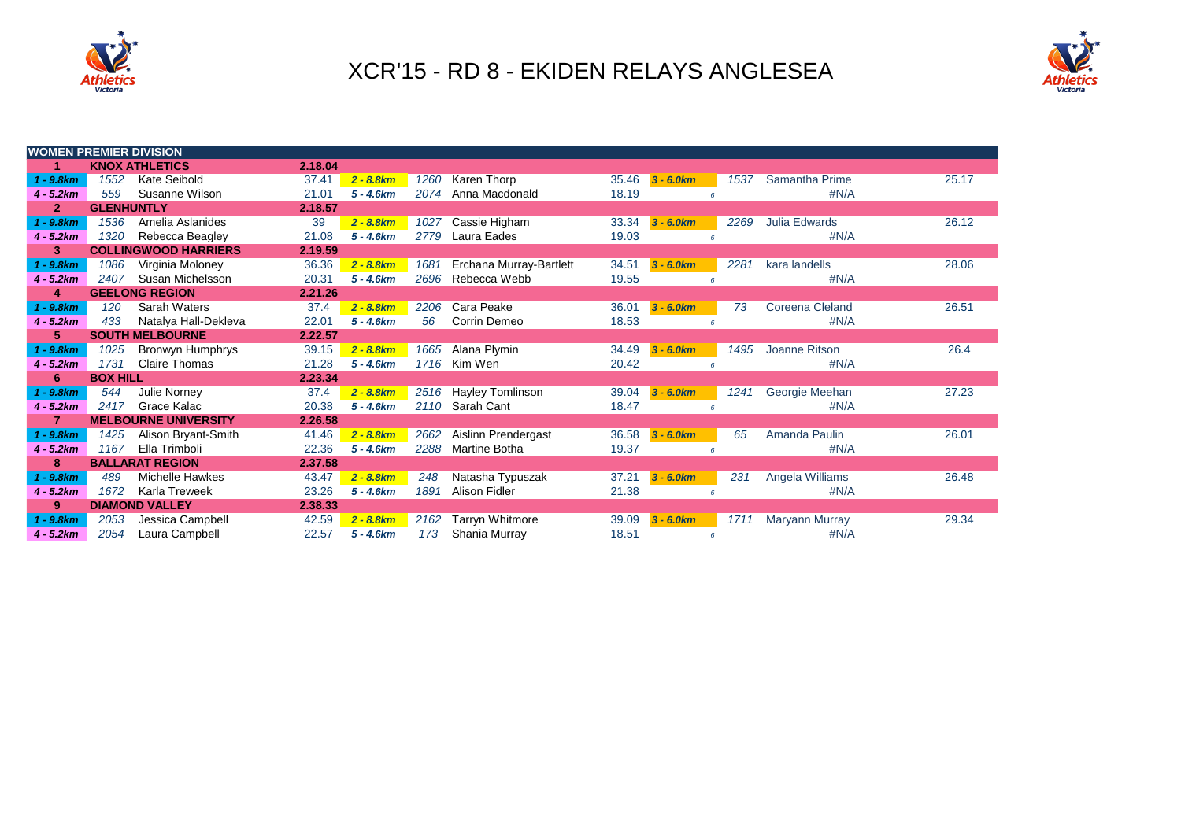



| <b>WOMEN PREMIER DIVISION</b> |                   |                             |         |              |      |                         |       |                |            |                 |       |
|-------------------------------|-------------------|-----------------------------|---------|--------------|------|-------------------------|-------|----------------|------------|-----------------|-------|
| 1                             |                   | <b>KNOX ATHLETICS</b>       | 2.18.04 |              |      |                         |       |                |            |                 |       |
| 1 - 9.8km                     | 1552              | Kate Seibold                | 37.41   | $2 - 8.8 km$ | 1260 | Karen Thorp             | 35.46 | $3 - 6.0$ $km$ | 1537       | Samantha Prime  | 25.17 |
| $4 - 5.2km$                   | 559               | Susanne Wilson              | 21.01   | $5 - 4.6km$  | 2074 | Anna Macdonald          | 18.19 |                | 6          | #N/A            |       |
| $\mathbf{2}$                  | <b>GLENHUNTLY</b> |                             | 2.18.57 |              |      |                         |       |                |            |                 |       |
| $1 - 9.8$ $km$                | 1536              | Amelia Aslanides            | 39      | $2 - 8.8 km$ | 1027 | Cassie Higham           | 33.34 | $3 - 6.0km$    | 2269       | Julia Edwards   | 26.12 |
| $4 - 5.2km$                   | 1320              | Rebecca Beagley             | 21.08   | $5 - 4.6km$  | 2779 | Laura Eades             | 19.03 |                |            | #N/A            |       |
| 3                             |                   | <b>COLLINGWOOD HARRIERS</b> | 2.19.59 |              |      |                         |       |                |            |                 |       |
| $1 - 9.8$ $km$                | 1086              | Virginia Moloney            | 36.36   | $2 - 8.8 km$ | 1681 | Erchana Murray-Bartlett | 34.51 | $3 - 6.0km$    | 2281       | kara landells   | 28.06 |
| $4 - 5.2km$                   | 2407              | Susan Michelsson            | 20.31   | $5 - 4.6km$  | 2696 | Rebecca Webb            | 19.55 |                | $\epsilon$ | #N/A            |       |
| 4                             |                   | <b>GEELONG REGION</b>       | 2.21.26 |              |      |                         |       |                |            |                 |       |
| $1 - 9.8$ $km$                | 120               | Sarah Waters                | 37.4    | $2 - 8.8 km$ | 2206 | Cara Peake              | 36.01 | $3 - 6.0$ $km$ | 73         | Coreena Cleland | 26.51 |
| $4 - 5.2km$                   | 433               | Natalya Hall-Dekleva        | 22.01   | $5 - 4.6km$  | 56   | Corrin Demeo            | 18.53 |                | 6          | #N/A            |       |
| 5                             |                   | <b>SOUTH MELBOURNE</b>      | 2.22.57 |              |      |                         |       |                |            |                 |       |
| $1 - 9.8km$                   | 1025              | Bronwyn Humphrys            | 39.15   | $2 - 8.8 km$ | 1665 | Alana Plymin            | 34.49 | $3 - 6.0$ km   | 1495       | Joanne Ritson   | 26.4  |
| $4 - 5.2km$                   | 1731              | <b>Claire Thomas</b>        | 21.28   | $5 - 4.6km$  |      | 1716 Kim Wen            | 20.42 |                |            | #N/A            |       |
| 6                             | <b>BOX HILL</b>   |                             | 2.23.34 |              |      |                         |       |                |            |                 |       |
| $1 - 9.8km$                   | 544               | Julie Norney                | 37.4    | $2 - 8.8 km$ |      | 2516 Hayley Tomlinson   | 39.04 | $3 - 6.0km$    | 1241       | Georgie Meehan  | 27.23 |
| $4 - 5.2km$                   | 2417              | Grace Kalac                 | 20.38   | $5 - 4.6km$  |      | 2110 Sarah Cant         | 18.47 |                | 6          | #N/A            |       |
| $\overline{7}$                |                   | <b>MELBOURNE UNIVERSITY</b> | 2.26.58 |              |      |                         |       |                |            |                 |       |
| $1 - 9.8km$                   | 1425              | Alison Bryant-Smith         | 41.46   | $2 - 8.8 km$ | 2662 | Aislinn Prendergast     | 36.58 | $3 - 6.0km$    | 65         | Amanda Paulin   | 26.01 |
| $4 - 5.2km$                   | 1167              | Ella Trimboli               | 22.36   | $5 - 4.6km$  | 2288 | <b>Martine Botha</b>    | 19.37 |                | 6          | #N/A            |       |
| 8                             |                   | <b>BALLARAT REGION</b>      | 2.37.58 |              |      |                         |       |                |            |                 |       |
| $1 - 9.8km$                   | 489               | <b>Michelle Hawkes</b>      | 43.47   | $2 - 8.8 km$ | 248  | Natasha Typuszak        | 37.21 | $3 - 6.0$ km   | 231        | Angela Williams | 26.48 |
| $4 - 5.2km$                   | 1672              | Karla Treweek               | 23.26   | $5 - 4.6km$  | 1891 | <b>Alison Fidler</b>    | 21.38 |                | 6          | #N/A            |       |
| 9                             |                   | <b>DIAMOND VALLEY</b>       | 2.38.33 |              |      |                         |       |                |            |                 |       |
| $1 - 9.8km$                   | 2053              | Jessica Campbell            | 42.59   | $2 - 8.8 km$ | 2162 | Tarryn Whitmore         | 39.09 | $3 - 6.0$ $km$ | 1711       | Maryann Murray  | 29.34 |
| $4 - 5.2km$                   | 2054              | Laura Campbell              | 22.57   | $5 - 4.6km$  | 173  | Shania Murray           | 18.51 |                | 6          | #N/A            |       |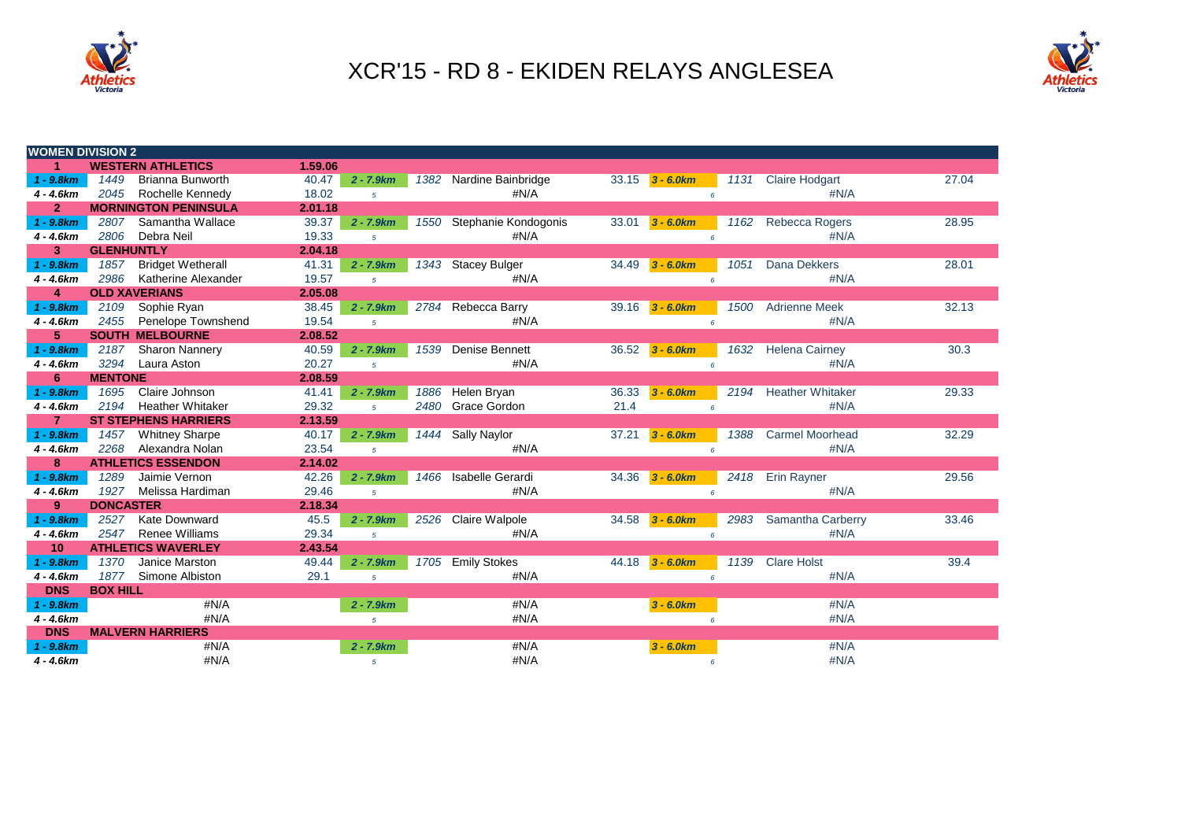



| <b>WOMEN DIVISION 2</b> |                   |                             |         |                |      |                           |      |                     |                 |                          |       |
|-------------------------|-------------------|-----------------------------|---------|----------------|------|---------------------------|------|---------------------|-----------------|--------------------------|-------|
| 1 <sup>1</sup>          |                   | <b>WESTERN ATHLETICS</b>    | 1.59.06 |                |      |                           |      |                     |                 |                          |       |
| $1 - 9.8 km$            | 1449              | <b>Brianna Bunworth</b>     | 40.47   | $2 - 7.9 km$   |      | 1382 Nardine Bainbridge   |      | $33.15$ 3 - 6.0km   | 1131            | <b>Claire Hodgart</b>    | 27.04 |
| $4 - 4.6km$             | 2045              | Rochelle Kennedy            | 18.02   | 5 <sup>5</sup> |      | #N/A                      |      |                     | $\epsilon$      | #N/A                     |       |
| 2 <sup>1</sup>          |                   | <b>MORNINGTON PENINSULA</b> | 2.01.18 |                |      |                           |      |                     |                 |                          |       |
| $1 - 9.8km$             | 2807              | Samantha Wallace            | 39.37   | $2 - 7.9km$    |      | 1550 Stephanie Kondogonis |      | $33.01$ 3 - 6.0km   | 1162            | <b>Rebecca Rogers</b>    | 28.95 |
| $4 - 4.6km$             | 2806              | Debra Neil                  | 19.33   | 5 <sup>5</sup> |      | #N/A                      |      |                     | $\epsilon$      | #N/A                     |       |
| 3                       | <b>GLENHUNTLY</b> |                             | 2.04.18 |                |      |                           |      |                     |                 |                          |       |
| $1 - 9.8km$             | 1857              | <b>Bridget Wetherall</b>    | 41.31   | $2 - 7.9 km$   |      | 1343 Stacey Bulger        |      | 34.49 3 - 6.0km     | 1051            | <b>Dana Dekkers</b>      | 28.01 |
| $4 - 4.6km$             | 2986              | Katherine Alexander         | 19.57   | 5 <sup>1</sup> |      | #N/A                      |      |                     |                 | #N/A                     |       |
| 4                       |                   | <b>OLD XAVERIANS</b>        | 2.05.08 |                |      |                           |      |                     |                 |                          |       |
| $1 - 9.8km$             | 2109              | Sophie Ryan                 | 38.45   | $2 - 7.9 km$   |      | 2784 Rebecca Barry        |      | 39.16 3 - 6.0km     | 1500            | <b>Adrienne Meek</b>     | 32.13 |
| $4 - 4.6km$             | 2455              | <b>Penelope Townshend</b>   | 19.54   | 5 <sup>1</sup> |      | #N/A                      |      |                     |                 | #N/A                     |       |
| 5                       |                   | <b>SOUTH MELBOURNE</b>      | 2.08.52 |                |      |                           |      |                     |                 |                          |       |
| $1 - 9.8km$             | 2187              | <b>Sharon Nannery</b>       | 40.59   | $2 - 7.9 km$   |      | 1539 Denise Bennett       |      | $36.52$ 3 - 6.0km   | 1632            | <b>Helena Cairney</b>    | 30.3  |
| $4 - 4.6km$             |                   | 3294 Laura Aston            | 20.27   | $5^{\circ}$    |      | #N/A                      |      |                     | $\epsilon$      | #N/A                     |       |
| 6                       | <b>MENTONE</b>    |                             | 2.08.59 |                |      |                           |      |                     |                 |                          |       |
| $1 - 9.8km$             | 1695              | Claire Johnson              | 41.41   | $2 - 7.9km$    |      | 1886 Helen Bryan          |      | $36.33$ $3 - 6.0km$ | 2194            | <b>Heather Whitaker</b>  | 29.33 |
| $4 - 4.6km$             | 2194              | <b>Heather Whitaker</b>     | 29.32   | 5 <sup>1</sup> |      | 2480 Grace Gordon         | 21.4 |                     | $6\overline{6}$ | #N/A                     |       |
| $\overline{7}$          |                   | <b>ST STEPHENS HARRIERS</b> | 2.13.59 |                |      |                           |      |                     |                 |                          |       |
| $1 - 9.8$ km            | 1457              | <b>Whitney Sharpe</b>       | 40.17   | $2 - 7.9km$    |      | 1444 Sally Naylor         |      | $37.21$ $3 - 6.0km$ | 1388            | <b>Carmel Moorhead</b>   | 32.29 |
| $4 - 4.6km$             | 2268              | Alexandra Nolan             | 23.54   | $5^{\circ}$    |      | #N/A                      |      |                     | $6\overline{6}$ | #N/A                     |       |
| 8                       |                   | <b>ATHLETICS ESSENDON</b>   | 2.14.02 |                |      |                           |      |                     |                 |                          |       |
| $1 - 9.8$ km            | 1289              | Jaimie Vernon               | 42.26   | $2 - 7.9km$    | 1466 | Isabelle Gerardi          |      | $34.36$ 3 - 6.0km   | 2418            | Erin Rayner              | 29.56 |
| $4 - 4.6km$             | 1927              | Melissa Hardiman            | 29.46   | $5^{\circ}$    |      | #N/A                      |      |                     | $6\overline{6}$ | #N/A                     |       |
| $9^{\circ}$             | <b>DONCASTER</b>  |                             | 2.18.34 |                |      |                           |      |                     |                 |                          |       |
| $1 - 9.8km$             | 2527              | <b>Kate Downward</b>        | 45.5    | $2 - 7.9km$    |      | 2526 Claire Walpole       |      | $34.58$ 3 - 6.0km   | 2983            | <b>Samantha Carberry</b> | 33.46 |
| $4 - 4.6km$             | 2547              | <b>Renee Williams</b>       | 29.34   | $5^{\circ}$    |      | #N/A                      |      |                     | $6\overline{6}$ | #N/A                     |       |
| 10 <sup>°</sup>         |                   | <b>ATHLETICS WAVERLEY</b>   | 2.43.54 |                |      |                           |      |                     |                 |                          |       |
| $1 - 9.8$ km            | 1370              | Janice Marston              | 49.44   | $2 - 7.9km$    |      | 1705 Emily Stokes         |      | $44.18$ 3 - 6.0km   | 1139            | <b>Clare Holst</b>       | 39.4  |
| $4 - 4.6km$             |                   | 1877 Simone Albiston        | 29.1    | $5^{\circ}$    |      | #N/A                      |      |                     | $6^{\circ}$     | #N/A                     |       |
| <b>DNS</b>              | <b>BOX HILL</b>   |                             |         |                |      |                           |      |                     |                 |                          |       |
| $1 - 9.8$ km            |                   | #N/A                        |         | $2 - 7.9km$    |      | #N/A                      |      | $3 - 6.0 km$        |                 | #N/A                     |       |
| $4 - 4.6km$             |                   | #N/A                        |         | $\sqrt{5}$     |      | #N/A                      |      |                     | $6\overline{6}$ | #N/A                     |       |
| <b>DNS</b>              |                   | <b>MALVERN HARRIERS</b>     |         |                |      |                           |      |                     |                 |                          |       |
| $1 - 9.8$ km            |                   | #N/A                        |         | $2 - 7.9km$    |      | #N/A                      |      | $3 - 6.0 km$        |                 | #N/A                     |       |
| $4 - 4.6km$             |                   | #N/A                        |         | $5^{\circ}$    |      | #N/A                      |      |                     | 6               | #N/A                     |       |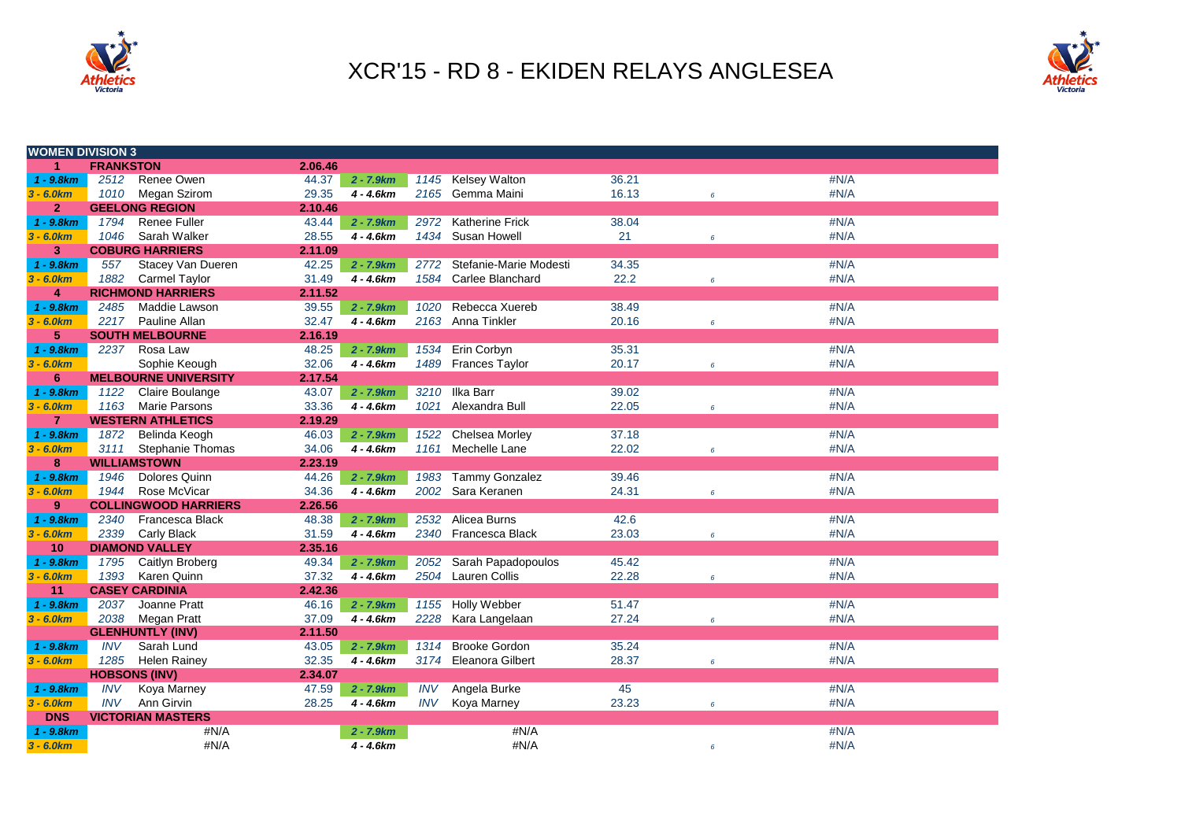



| <b>WOMEN DIVISION 3</b>   |                  |                                        |         |             |            |                        |       |            |      |
|---------------------------|------------------|----------------------------------------|---------|-------------|------------|------------------------|-------|------------|------|
| 1                         | <b>FRANKSTON</b> |                                        | 2.06.46 |             |            |                        |       |            |      |
| $1 - 9.8$ km              | 2512             | Renee Owen                             | 44.37   | $2 - 7.9km$ |            | 1145 Kelsey Walton     | 36.21 |            | #N/A |
| $3 - 6.0km$               | 1010             | Megan Szirom                           | 29.35   | 4 - 4.6km   |            | 2165 Gemma Maini       | 16.13 | $\epsilon$ | #N/A |
| $\overline{2}$            |                  | <b>GEELONG REGION</b>                  | 2.10.46 |             |            |                        |       |            |      |
| $1 - 9.8km$               | 1794             | <b>Renee Fuller</b>                    | 43.44   | $2 - 7.9km$ | 2972       | <b>Katherine Frick</b> | 38.04 |            | #N/A |
| $3 - 6.0km$               | 1046             | Sarah Walker                           | 28.55   | $4 - 4.6km$ |            | 1434 Susan Howell      | 21    | $\epsilon$ | #N/A |
| 3                         |                  | <b>COBURG HARRIERS</b>                 | 2.11.09 |             |            |                        |       |            |      |
| $1 - 9.8km$               | 557              | Stacey Van Dueren                      | 42.25   | $2 - 7.9km$ | 2772       | Stefanie-Marie Modesti | 34.35 |            | #N/A |
| $3 - 6.0km$               | 1882             | <b>Carmel Taylor</b>                   | 31.49   | $4 - 4.6km$ |            | 1584 Carlee Blanchard  | 22.2  | 6          | #N/A |
| 4                         |                  | <b>RICHMOND HARRIERS</b>               | 2.11.52 |             |            |                        |       |            |      |
| $1 - 9.8km$               | 2485             | Maddie Lawson                          | 39.55   | $2 - 7.9km$ | 1020       | Rebecca Xuereb         | 38.49 |            | #N/A |
| $3 - 6.0km$               | 2217             | Pauline Allan                          | 32.47   | $4 - 4.6km$ |            | 2163 Anna Tinkler      | 20.16 | 6          | #N/A |
| $5\phantom{.0}$           |                  | <b>SOUTH MELBOURNE</b>                 | 2.16.19 |             |            |                        |       |            |      |
| $1 - 9.8km$               | 2237             | Rosa Law                               | 48.25   | $2 - 7.9km$ | 1534       | Erin Corbyn            | 35.31 |            | #N/A |
| $3 - 6.0 km$              |                  | Sophie Keough                          | 32.06   | $4 - 4.6km$ |            | 1489 Frances Taylor    | 20.17 | 6          | #N/A |
| 6                         |                  | <b>MELBOURNE UNIVERSITY</b>            | 2.17.54 |             |            |                        |       |            |      |
| $1 - 9.8km$               | 1122             | Claire Boulange                        | 43.07   | $2 - 7.9km$ | 3210       | <b>Ilka Barr</b>       | 39.02 |            | #N/A |
| $3 - 6.0km$               | 1163             | <b>Marie Parsons</b>                   | 33.36   | $4 - 4.6km$ | 1021       | Alexandra Bull         | 22.05 | $\epsilon$ | #N/A |
| $\overline{7}$            |                  | <b>WESTERN ATHLETICS</b>               | 2.19.29 |             |            |                        |       |            |      |
| $1 - 9.8km$               | 1872             | Belinda Keogh                          | 46.03   | $2 - 7.9km$ | 1522       | Chelsea Morley         | 37.18 |            | #N/A |
| $3 - 6.0km$               | 3111             | Stephanie Thomas                       | 34.06   | $4 - 4.6km$ |            | 1161 Mechelle Lane     | 22.02 | 6          | #N/A |
| 8                         |                  | <b>WILLIAMSTOWN</b>                    | 2.23.19 |             |            |                        |       |            |      |
| $1 - 9.8km$               | 1946             | Dolores Quinn                          | 44.26   | $2 - 7.9km$ | 1983       | <b>Tammy Gonzalez</b>  | 39.46 |            | #N/A |
| $3 - 6.0km$               | 1944             | Rose McVicar                           | 34.36   | $4 - 4.6km$ |            | 2002 Sara Keranen      | 24.31 | 6          | #N/A |
| 9                         |                  | <b>COLLINGWOOD HARRIERS</b>            | 2.26.56 |             |            |                        |       |            |      |
| $1 - 9.8km$               | 2340             | Francesca Black                        | 48.38   | $2 - 7.9km$ | 2532       | Alicea Burns           | 42.6  |            | #N/A |
| $3 - 6.0 km$              | 2339             | Carly Black                            | 31.59   | $4 - 4.6km$ |            | 2340 Francesca Black   | 23.03 | $\epsilon$ | #N/A |
| 10                        |                  | <b>DIAMOND VALLEY</b>                  | 2.35.16 |             |            |                        |       |            |      |
| $1 - 9.8km$               | 1795             | Caitlyn Broberg                        | 49.34   | $2 - 7.9km$ | 2052       | Sarah Papadopoulos     | 45.42 |            | #N/A |
| $3 - 6.0 km$              | 1393             | Karen Quinn                            | 37.32   | $4 - 4.6km$ |            | 2504 Lauren Collis     | 22.28 | $\epsilon$ | #N/A |
| 11                        |                  | <b>CASEY CARDINIA</b>                  | 2.42.36 |             |            |                        |       |            |      |
| $1 - 9.8km$               | 2037             | Joanne Pratt                           | 46.16   | $2 - 7.9km$ | 1155       | Holly Webber           | 51.47 |            | #N/A |
| $3 - 6.0km$               | 2038             | <b>Megan Pratt</b>                     | 37.09   | $4 - 4.6km$ |            | 2228 Kara Langelaan    | 27.24 | $\epsilon$ | #N/A |
|                           |                  | <b>GLENHUNTLY (INV)</b>                | 2.11.50 |             |            |                        |       |            |      |
| $1 - 9.8km$               | <b>INV</b>       | Sarah Lund                             | 43.05   | $2 - 7.9km$ | 1314       | <b>Brooke Gordon</b>   | 35.24 |            | #N/A |
| $3 - 6.0km$               | 1285             | <b>Helen Rainey</b>                    | 32.35   | $4 - 4.6km$ |            | 3174 Eleanora Gilbert  | 28.37 | 6          | #N/A |
|                           |                  | <b>HOBSONS (INV)</b>                   | 2.34.07 |             |            |                        |       |            |      |
| $1 - 9.8km$               | <b>INV</b>       | Koya Marney                            | 47.59   | $2 - 7.9km$ | <b>INV</b> | Angela Burke           | 45    |            | #N/A |
| $3 - 6.0km$<br><b>DNS</b> | <b>INV</b>       | Ann Girvin<br><b>VICTORIAN MASTERS</b> | 28.25   | $4 - 4.6km$ | <b>INV</b> | Koya Marney            | 23.23 | 6          | #N/A |
|                           |                  | #N/A                                   |         |             |            | #N/A                   |       |            | #N/A |
| $1 - 9.8$ km              |                  |                                        |         | 2 - 7.9km   |            | #N/A                   |       |            |      |
| $3 - 6.0 km$              |                  | #N/A                                   |         | 4 - 4.6km   |            |                        |       | 6          | #N/A |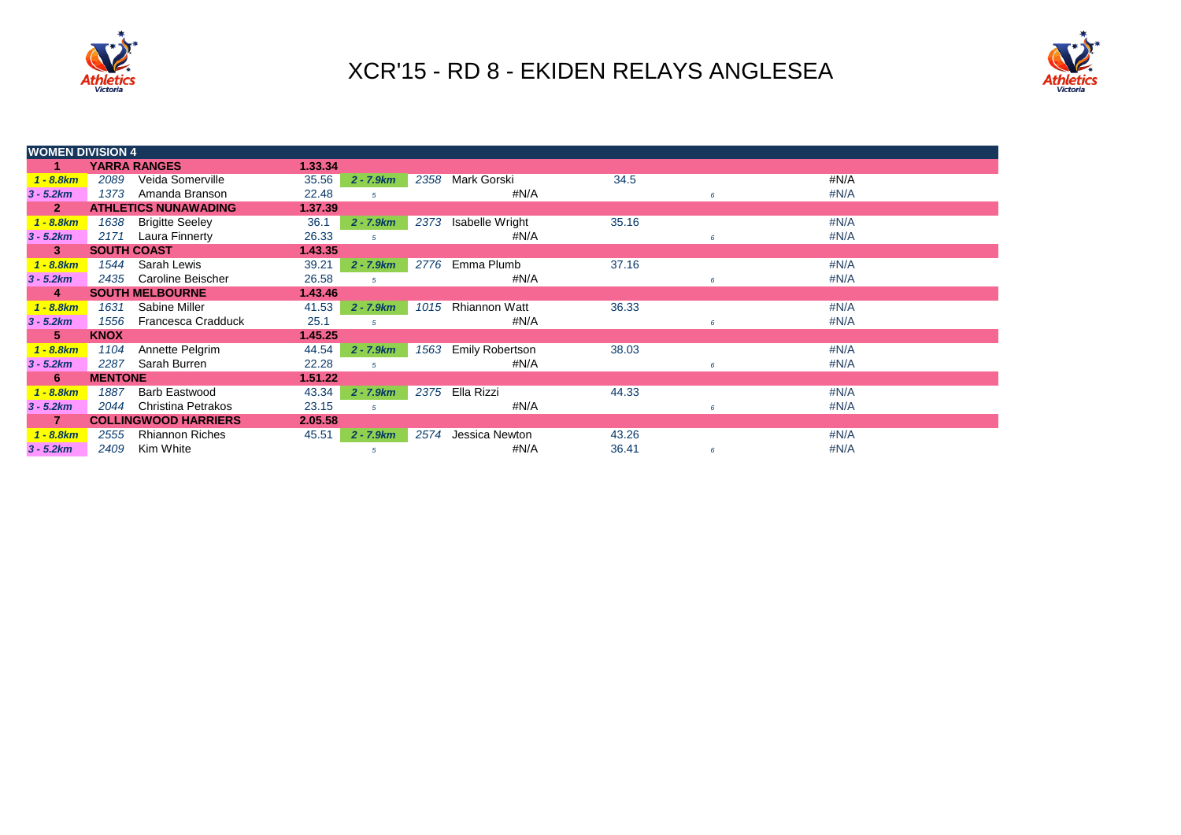



| <b>WOMEN DIVISION 4</b> |                    |                             |         |                |      |                        |       |   |         |  |
|-------------------------|--------------------|-----------------------------|---------|----------------|------|------------------------|-------|---|---------|--|
|                         |                    | <b>YARRA RANGES</b>         | 1.33.34 |                |      |                        |       |   |         |  |
| $1 - 8.8 km$            | 2089               | Veida Somerville            | 35.56   | $2 - 7.9km$    | 2358 | Mark Gorski            | 34.5  |   | #N/A    |  |
| $3 - 5.2km$             | 1373               | Amanda Branson              | 22.48   | 5              |      | #N/A                   |       |   | #N/A    |  |
| $\mathbf{2}$            |                    | <b>ATHLETICS NUNAWADING</b> | 1.37.39 |                |      |                        |       |   |         |  |
| $1 - 8.8km$             | 1638               | <b>Brigitte Seeley</b>      | 36.1    | $2 - 7.9 km$   | 2373 | Isabelle Wright        | 35.16 |   | $\#N/A$ |  |
| $3 - 5.2km$             | 2171               | Laura Finnerty              | 26.33   | 5              |      | #N/A                   |       | 6 | #N/A    |  |
| 3                       | <b>SOUTH COAST</b> |                             | 1.43.35 |                |      |                        |       |   |         |  |
| $1 - 8.8km$             | 1544               | Sarah Lewis                 | 39.21   | $2 - 7.9km$    | 2776 | Emma Plumb             | 37.16 |   | $\#N/A$ |  |
| $3 - 5.2km$             | 2435               | Caroline Beischer           | 26.58   | 5              |      | #N/A                   |       | 6 | #N/A    |  |
| 4                       |                    | <b>SOUTH MELBOURNE</b>      | 1.43.46 |                |      |                        |       |   |         |  |
| $1 - 8.8km$             | 1631               | Sabine Miller               | 41.53   | $2 - 7.9km$    | 1015 | <b>Rhiannon Watt</b>   | 36.33 |   | #N/A    |  |
| $3 - 5.2km$             | 1556               | Francesca Cradduck          | 25.1    | $\sqrt{5}$     |      | #N/A                   |       | 6 | #N/A    |  |
| 5.                      | <b>KNOX</b>        |                             | 1.45.25 |                |      |                        |       |   |         |  |
| $1 - 8.8km$             | 1104               | Annette Pelgrim             | 44.54   | $2 - 7.9km$    | 1563 | <b>Emily Robertson</b> | 38.03 |   | #N/A    |  |
| $3 - 5.2km$             | 2287               | Sarah Burren                | 22.28   | $\overline{5}$ |      | #N/A                   |       | 6 | #N/A    |  |
| 6                       | <b>MENTONE</b>     |                             | 1.51.22 |                |      |                        |       |   |         |  |
| $1 - 8.8km$             | 1887               | <b>Barb Eastwood</b>        | 43.34   | $2 - 7.9 km$   | 2375 | Ella Rizzi             | 44.33 |   | #N/A    |  |
| $3 - 5.2km$             | 2044               | Christina Petrakos          | 23.15   | $\sqrt{5}$     |      | #N/A                   |       | 6 | #N/A    |  |
| 7                       |                    | <b>COLLINGWOOD HARRIERS</b> | 2.05.58 |                |      |                        |       |   |         |  |
| $1 - 8.8km$             | 2555               | <b>Rhiannon Riches</b>      | 45.51   | $2 - 7.9km$    | 2574 | Jessica Newton         | 43.26 |   | #N/A    |  |
| $3 - 5.2km$             | 2409               | Kim White                   |         | 5              |      | #N/A                   | 36.41 | 6 | #N/A    |  |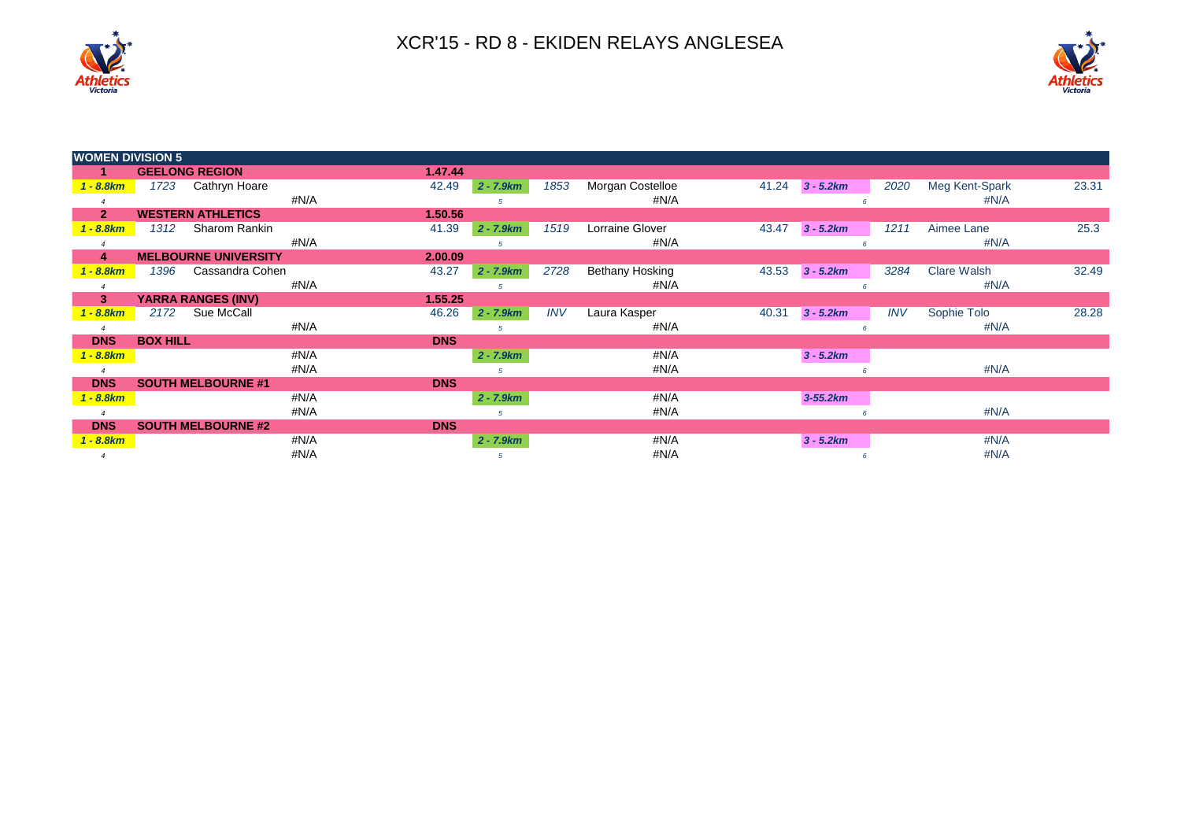



| <b>WOMEN DIVISION 5</b> |                 |                             |      |            |              |            |                  |       |             |            |                    |       |
|-------------------------|-----------------|-----------------------------|------|------------|--------------|------------|------------------|-------|-------------|------------|--------------------|-------|
|                         |                 | <b>GEELONG REGION</b>       |      | 1.47.44    |              |            |                  |       |             |            |                    |       |
| $1 - 8.8km$             | 1723            | Cathryn Hoare               |      | 42.49      | $2 - 7.9km$  | 1853       | Morgan Costelloe | 41.24 | $3 - 5.2km$ | 2020       | Meg Kent-Spark     | 23.31 |
|                         |                 |                             | #N/A |            | 5            |            | #N/A             |       |             |            | #N/A               |       |
| $\overline{2}$          |                 | <b>WESTERN ATHLETICS</b>    |      | 1.50.56    |              |            |                  |       |             |            |                    |       |
| $1 - 8.8 km$            | 1312            | Sharom Rankin               |      | 41.39      | $2 - 7.9km$  | 1519       | Lorraine Glover  | 43.47 | $3 - 5.2km$ | 1211       | Aimee Lane         | 25.3  |
|                         |                 |                             | #N/A |            |              |            | #N/A             |       |             |            | #N/A               |       |
| 4                       |                 | <b>MELBOURNE UNIVERSITY</b> |      | 2.00.09    |              |            |                  |       |             |            |                    |       |
| $1 - 8.8$ km            | 1396            | Cassandra Cohen             |      | 43.27      | $2 - 7.9 km$ | 2728       | Bethany Hosking  | 43.53 | $3 - 5.2km$ | 3284       | <b>Clare Walsh</b> | 32.49 |
|                         |                 |                             | #N/A |            |              |            | #N/A             |       |             |            | #N/A               |       |
| 3 <sup>2</sup>          |                 | <b>YARRA RANGES (INV)</b>   |      | 1.55.25    |              |            |                  |       |             |            |                    |       |
| $1 - 8.8$ km            | 2172            | Sue McCall                  |      | 46.26      | $2 - 7.9km$  | <b>INV</b> | Laura Kasper     | 40.31 | $3 - 5.2km$ | <b>INV</b> | Sophie Tolo        | 28.28 |
|                         |                 |                             | #N/A |            | 5            |            | #N/A             |       |             |            | #N/A               |       |
| <b>DNS</b>              | <b>BOX HILL</b> |                             |      | <b>DNS</b> |              |            |                  |       |             |            |                    |       |
| $1 - 8.8$ km            |                 |                             | #N/A |            | $2 - 7.9km$  |            | #N/A             |       | $3 - 5.2km$ |            |                    |       |
|                         |                 |                             | #N/A |            |              |            | #N/A             |       |             |            | #N/A               |       |
| <b>DNS</b>              |                 | <b>SOUTH MELBOURNE #1</b>   |      | <b>DNS</b> |              |            |                  |       |             |            |                    |       |
| $1 - 8.8$ km            |                 |                             | #N/A |            | $2 - 7.9km$  |            | #N/A             |       | $3-55.2km$  |            |                    |       |
|                         |                 |                             | #N/A |            |              |            | #N/A             |       |             |            | #N/A               |       |
| <b>DNS</b>              |                 | <b>SOUTH MELBOURNE #2</b>   |      | <b>DNS</b> |              |            |                  |       |             |            |                    |       |
| $1 - 8.8$ km            |                 |                             | #N/A |            | $2 - 7.9km$  |            | #N/A             |       | $3 - 5.2km$ |            | #N/A               |       |
|                         |                 |                             | #N/A |            |              |            | #N/A             |       | 6           |            | #N/A               |       |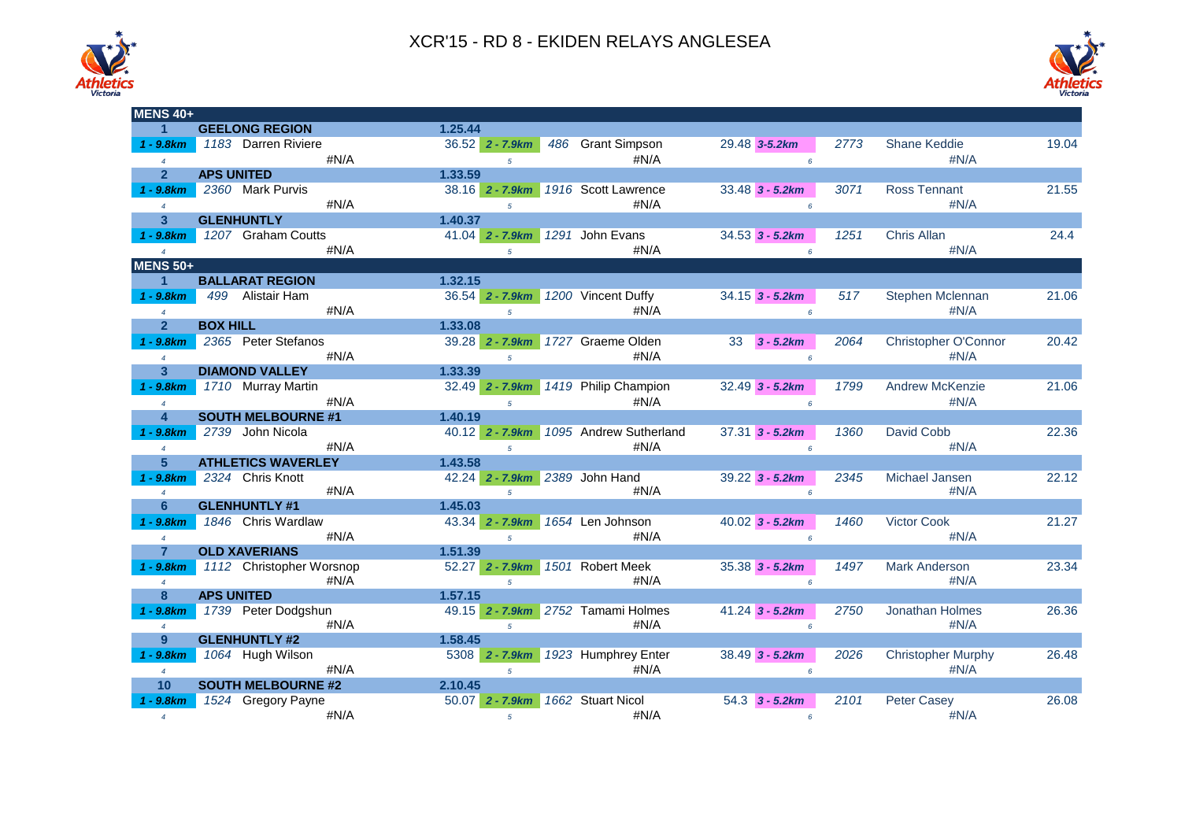



| <b>MENS 40+</b>         |                           |         |                                    |                                      |                   |      |                           |       |
|-------------------------|---------------------------|---------|------------------------------------|--------------------------------------|-------------------|------|---------------------------|-------|
| $\mathbf 1$             |                           |         |                                    |                                      |                   |      |                           |       |
|                         | <b>GEELONG REGION</b>     | 1.25.44 |                                    |                                      |                   |      |                           |       |
| $1 - 9.8$ km            | 1183 Darren Riviere       |         | $36.52$ 2 - 7.9 km                 | 486 Grant Simpson                    | 29.48 3-5.2km     | 2773 | Shane Keddie              | 19.04 |
| $\overline{4}$          | #N/A                      |         | $\overline{5}$                     | $\#N/A$                              | $6^{\circ}$       |      | # $N/A$                   |       |
| $\overline{2}$          | <b>APS UNITED</b>         | 1.33.59 |                                    |                                      |                   |      |                           |       |
| $1 - 9.8$ km            | 2360 Mark Purvis          |         | 38.16 2 - 7.9km                    | 1916 Scott Lawrence                  | $33.48$ 3 - 5.2km | 3071 | <b>Ross Tennant</b>       | 21.55 |
| $\overline{4}$          | #N/A                      |         | $5^{\circ}$                        | $\#N/A$                              | 6                 |      | #N/A                      |       |
| 3 <sup>5</sup>          | <b>GLENHUNTLY</b>         | 1.40.37 |                                    |                                      |                   |      |                           |       |
| $1 - 9.8$ $km$          | 1207 Graham Coutts        |         | 41.04 2 - 7.9km                    | 1291 John Evans                      | $34.53$ 3 - 5.2km | 1251 | Chris Allan               | 24.4  |
| $\overline{4}$          | #N/A                      |         | $5^{\circ}$                        | #N/A                                 | 6                 |      | #N/A                      |       |
| <b>MENS 50+</b>         |                           |         |                                    |                                      |                   |      |                           |       |
|                         |                           |         |                                    |                                      |                   |      |                           |       |
| 1                       | <b>BALLARAT REGION</b>    | 1.32.15 |                                    |                                      |                   |      |                           |       |
| $1 - 9.8 km$            | 499 Alistair Ham          |         | 36.54 2 - 7.9km 1200 Vincent Duffy |                                      | $34.15$ 3 - 5.2km | 517  | <b>Stephen Mclennan</b>   | 21.06 |
| $\overline{4}$          | #N/A                      |         | $\overline{5}$                     | #N/A                                 | 6                 |      | #N/A                      |       |
| $\overline{2}$          | <b>BOX HILL</b>           | 1.33.08 |                                    |                                      |                   |      |                           |       |
| $1 - 9.8 km$            | 2365 Peter Stefanos       |         | $39.28$ 2 - 7.9km                  | 1727 Graeme Olden                    | 33<br>$3 - 5.2km$ | 2064 | Christopher O'Connor      | 20.42 |
| $\overline{4}$          | #N/A                      |         | $\overline{5}$                     | #N/A                                 | 6                 |      | #N/A                      |       |
| $\overline{\mathbf{3}}$ | <b>DIAMOND VALLEY</b>     | 1.33.39 |                                    |                                      |                   |      |                           |       |
| $1 - 9.8 km$            | 1710 Murray Martin        |         |                                    | 32.49 2 - 7.9km 1419 Philip Champion | $32.49$ 3 - 5.2km | 1799 | <b>Andrew McKenzie</b>    | 21.06 |
| $\overline{4}$          | #N/A                      |         | $5^{\circ}$                        | #N/A                                 | 6                 |      | #N/A                      |       |
| $\overline{\mathbf{4}}$ | <b>SOUTH MELBOURNE #1</b> | 1.40.19 |                                    |                                      |                   |      |                           |       |
|                         |                           |         |                                    |                                      |                   |      |                           |       |
| $1 - 9.8$ km            | 2739 John Nicola          |         | $40.12$ 2 - 7.9km                  | 1095 Andrew Sutherland               | $37.31$ 3 - 5.2km | 1360 | David Cobb                | 22.36 |
| $\overline{4}$          | #N/A                      |         | $\overline{5}$                     | #N/A                                 | 6                 |      | #N/A                      |       |
| 5 <sup>5</sup>          | <b>ATHLETICS WAVERLEY</b> | 1.43.58 |                                    |                                      |                   |      |                           |       |
| $1 - 9.8$ km            | 2324 Chris Knott          |         | 42.24 2 - 7.9km 2389 John Hand     |                                      | $39.22$ 3 - 5.2km | 2345 | Michael Jansen            | 22.12 |
| $\overline{4}$          | #N/A                      |         | $\overline{5}$                     | $\#N/A$                              | 6                 |      | # $N/A$                   |       |
| 6                       | <b>GLENHUNTLY #1</b>      | 1.45.03 |                                    |                                      |                   |      |                           |       |
| $1 - 9.8 km$            | 1846 Chris Wardlaw        |         | 43.34 2 - 7.9km                    | 1654 Len Johnson                     | $40.02$ 3 - 5.2km | 1460 | <b>Victor Cook</b>        | 21.27 |
| $\overline{4}$          | #N/A                      |         | $\overline{5}$                     | #N/A                                 | 6                 |      | #N/A                      |       |
| $\overline{7}$          | <b>OLD XAVERIANS</b>      | 1.51.39 |                                    |                                      |                   |      |                           |       |
| $1 - 9.8 km$            | 1112 Christopher Worsnop  |         | $52.27$ 2 - 7.9 km                 | 1501 Robert Meek                     | $35.38$ 3 - 5.2km | 1497 | <b>Mark Anderson</b>      | 23.34 |
| $\overline{4}$          | #N/A                      |         | $5^{\circ}$                        | #N/A                                 | 6                 |      | #N/A                      |       |
| 8                       | <b>APS UNITED</b>         | 1.57.15 |                                    |                                      |                   |      |                           |       |
| $1 - 9.8$ km            | 1739 Peter Dodgshun       |         |                                    | 49.15 2 - 7.9km 2752 Tamami Holmes   | $41.24$ 3 - 5.2km | 2750 | Jonathan Holmes           | 26.36 |
| $\overline{4}$          | #N/A                      |         |                                    | #N/A                                 |                   |      | #N/A                      |       |
|                         |                           |         | $5^{\circ}$                        |                                      | $6^{\circ}$       |      |                           |       |
| 9                       | <b>GLENHUNTLY #2</b>      | 1.58.45 |                                    |                                      |                   |      |                           |       |
| $1 - 9.8 km$            | 1064 Hugh Wilson          |         | 5308 2 - 7.9km                     | 1923 Humphrey Enter                  | $38.49$ 3 - 5.2km | 2026 | <b>Christopher Murphy</b> | 26.48 |
| $\overline{4}$          | #N/A                      |         | $\overline{5}$                     | #N/A                                 | $6^{\circ}$       |      | #N/A                      |       |
| 10                      | <b>SOUTH MELBOURNE #2</b> | 2.10.45 |                                    |                                      |                   |      |                           |       |
| $1 - 9.8 km$            | 1524 Gregory Payne        |         | 50.07 2 - 7.9km                    | 1662 Stuart Nicol                    | $54.3$ 3 - 5.2km  | 2101 | Peter Casey               | 26.08 |
| $\overline{4}$          | #N/A                      |         | $5\overline{5}$                    | #N/A                                 | 6                 |      | #N/A                      |       |
|                         |                           |         |                                    |                                      |                   |      |                           |       |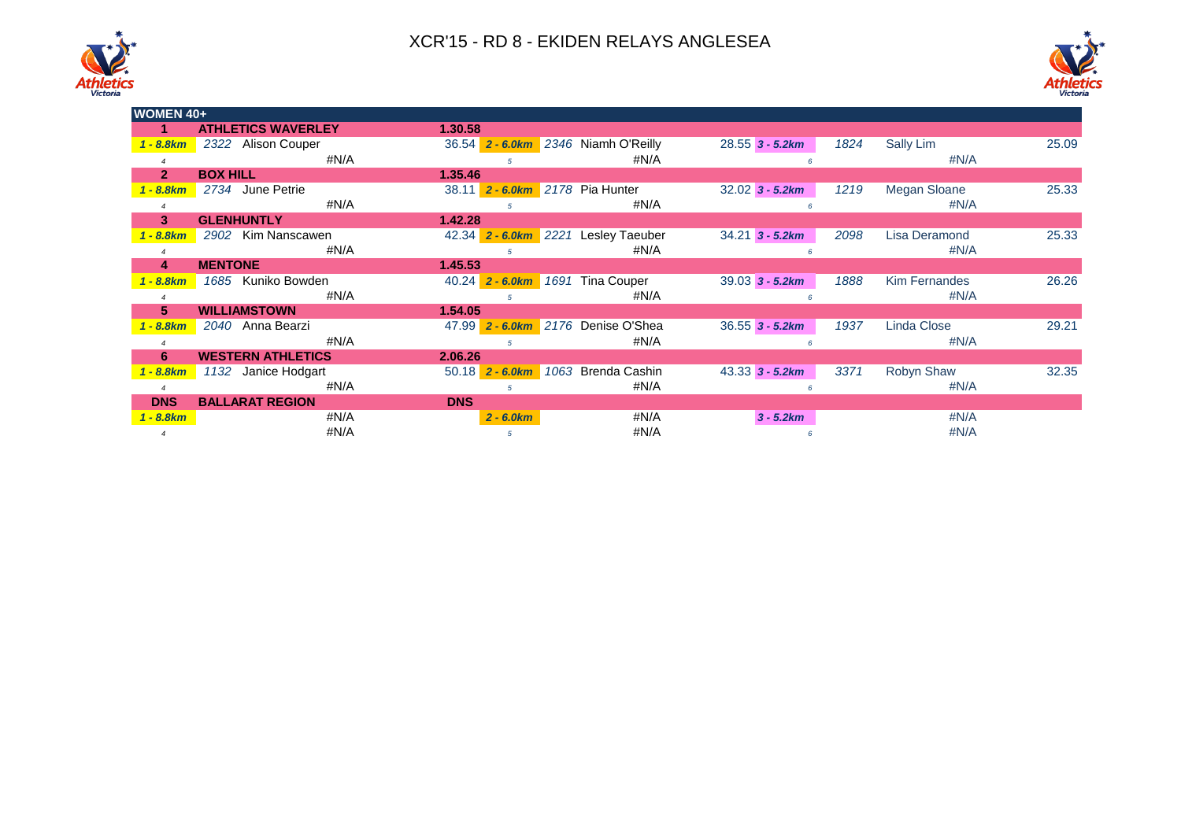



| <b>WOMEN 40+</b> |                           |                   |                                     |                   |                              |       |  |  |  |  |  |
|------------------|---------------------------|-------------------|-------------------------------------|-------------------|------------------------------|-------|--|--|--|--|--|
|                  | <b>ATHLETICS WAVERLEY</b> | 1.30.58           |                                     |                   |                              |       |  |  |  |  |  |
| $1 - 8.8$ km     | 2322 Alison Couper        |                   | 36.54 2 - 6.0km 2346 Niamh O'Reilly | $28.55$ 3 - 5.2km | 1824<br>Sally Lim            | 25.09 |  |  |  |  |  |
|                  | #N/A                      | 5.                | #N/A                                |                   | #N/A                         |       |  |  |  |  |  |
| 2 <sup>1</sup>   | <b>BOX HILL</b>           | 1.35.46           |                                     |                   |                              |       |  |  |  |  |  |
| 1 - 8.8km        | 2734 June Petrie          |                   | 38.11 2 - 6.0km 2178 Pia Hunter     | $32.02$ 3 - 5.2km | 1219<br>Megan Sloane         | 25.33 |  |  |  |  |  |
|                  | #N/A                      |                   | # $N/A$                             |                   | #N/A                         |       |  |  |  |  |  |
| 3 <sup>2</sup>   | <b>GLENHUNTLY</b>         | 1.42.28           |                                     |                   |                              |       |  |  |  |  |  |
| $-8.8km$         | 2902 Kim Nanscawen        |                   | 42.34 2 - 6.0km 2221 Lesley Taeuber | $34.21$ 3 - 5.2km | 2098<br>Lisa Deramond        | 25.33 |  |  |  |  |  |
|                  | #N/A                      |                   | #N/A                                |                   | # $N/A$                      |       |  |  |  |  |  |
| 4                | <b>MENTONE</b>            | 1.45.53           |                                     |                   |                              |       |  |  |  |  |  |
| $-8.8km$         | 1685 Kuniko Bowden        | $40.24$ 2 - 6.0km | 1691<br><b>Tina Couper</b>          | $39.03$ 3 - 5.2km | <b>Kim Fernandes</b><br>1888 | 26.26 |  |  |  |  |  |
|                  | #N/A                      |                   | #N/A                                |                   | $\#N/A$                      |       |  |  |  |  |  |
| 5.               | <b>WILLIAMSTOWN</b>       | 1.54.05           |                                     |                   |                              |       |  |  |  |  |  |
| 1 - 8.8km        | 2040 Anna Bearzi          |                   | 47.99 2 - 6.0km 2176 Denise O'Shea  | $36.55$ 3 - 5.2km | Linda Close<br>1937          | 29.21 |  |  |  |  |  |
|                  | #N/A                      |                   | #N/A                                |                   | # $N/A$                      |       |  |  |  |  |  |
| 6                | <b>WESTERN ATHLETICS</b>  | 2.06.26           |                                     |                   |                              |       |  |  |  |  |  |
| 1 - 8.8km        | Janice Hodgart<br>1132    | $50.18$ 2 - 6.0km | 1063 Brenda Cashin                  | $43.33$ 3 - 5.2km | 3371<br>Robyn Shaw           | 32.35 |  |  |  |  |  |
|                  | #N/A                      | 5                 | #N/A                                |                   | # $N/A$                      |       |  |  |  |  |  |
| <b>DNS</b>       | <b>BALLARAT REGION</b>    | <b>DNS</b>        |                                     |                   |                              |       |  |  |  |  |  |
| 1 - 8.8km        | #N/A                      | $2 - 6.0 km$      | # $N/A$                             | $3 - 5.2km$       | #N/A                         |       |  |  |  |  |  |
|                  | #N/A                      | 5                 | #N/A                                |                   | #N/A                         |       |  |  |  |  |  |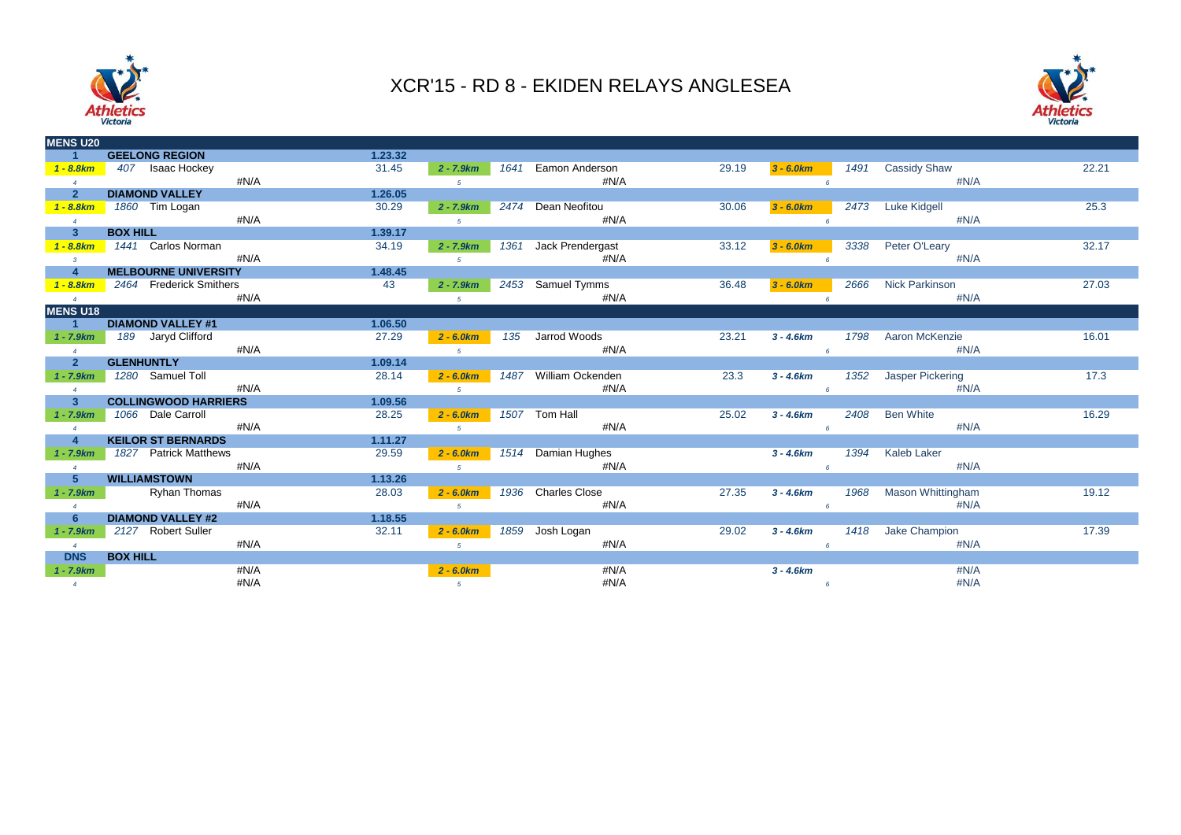



| <b>MENS U20</b>         |                             |      |         |                |      |                       |       |              |      |                       |       |
|-------------------------|-----------------------------|------|---------|----------------|------|-----------------------|-------|--------------|------|-----------------------|-------|
|                         | <b>GEELONG REGION</b>       |      | 1.23.32 |                |      |                       |       |              |      |                       |       |
| $1 - 8.8$ km            | 407 Isaac Hockey            |      | 31.45   | $2 - 7.9km$    | 1641 | Eamon Anderson        | 29.19 | $3 - 6.0 km$ | 1491 | <b>Cassidy Shaw</b>   | 22.21 |
| $\overline{4}$          |                             | #N/A |         | 5 <sup>5</sup> |      | #N/A                  |       |              |      | $\#N/A$               |       |
| $\mathbf{2}$            | <b>DIAMOND VALLEY</b>       |      | 1.26.05 |                |      |                       |       |              |      |                       |       |
| $1 - 8.8km$             | 1860 Tim Logan              |      | 30.29   | $2 - 7.9km$    |      | 2474 Dean Neofitou    | 30.06 | $3 - 6.0 km$ |      | 2473 Luke Kidgell     | 25.3  |
| $\overline{4}$          |                             | #N/A |         | 5 <sup>5</sup> |      | #N/A                  |       |              |      | #N/A                  |       |
| 3 <sup>2</sup>          | <b>BOX HILL</b>             |      | 1.39.17 |                |      |                       |       |              |      |                       |       |
| $1 - 8.8km$             | 1441 Carlos Norman          |      | 34.19   | $2 - 7.9km$    |      | 1361 Jack Prendergast | 33.12 | $3 - 6.0 km$ | 3338 | Peter O'Leary         | 32.17 |
| $\overline{\mathbf{3}}$ |                             | #N/A |         | 5 <sup>5</sup> |      | #N/A                  |       |              |      | #N/A                  |       |
| $\overline{4}$          | <b>MELBOURNE UNIVERSITY</b> |      | 1.48.45 |                |      |                       |       |              |      |                       |       |
| $1 - 8.8 km$            | 2464 Frederick Smithers     |      | 43      | $2 - 7.9km$    |      | 2453 Samuel Tymms     | 36.48 | $3 - 6.0 km$ | 2666 | Nick Parkinson        | 27.03 |
| $\overline{4}$          |                             | #N/A |         | 5 <sup>5</sup> |      | #N/A                  |       |              |      | #N/A                  |       |
| <b>MENS U18</b>         |                             |      |         |                |      |                       |       |              |      |                       |       |
| $\blacktriangleleft$    | <b>DIAMOND VALLEY #1</b>    |      | 1.06.50 |                |      |                       |       |              |      |                       |       |
| $1 - 7.9km$             | 189 Jaryd Clifford          |      | 27.29   | $2 - 6.0 km$   | 135  | Jarrod Woods          | 23.21 | $3 - 4.6 km$ | 1798 | Aaron McKenzie        | 16.01 |
| $\overline{4}$          |                             | #N/A |         | 5 <sup>5</sup> |      | #N/A                  |       |              | 6    | #N/A                  |       |
| $\overline{2}$          | <b>GLENHUNTLY</b>           |      | 1.09.14 |                |      |                       |       |              |      |                       |       |
| $1 - 7.9km$             | 1280 Samuel Toll            |      | 28.14   | $2 - 6.0 km$   |      | 1487 William Ockenden | 23.3  | $3 - 4.6 km$ |      | 1352 Jasper Pickering | 17.3  |
| $\overline{4}$          |                             | #N/A |         | 5 <sup>5</sup> |      | #N/A                  |       |              |      | #N/A                  |       |
| 3 <sup>2</sup>          | <b>COLLINGWOOD HARRIERS</b> |      | 1.09.56 |                |      |                       |       |              |      |                       |       |
| $1 - 7.9km$             | 1066 Dale Carroll           |      | 28.25   | $2 - 6.0 km$   |      | 1507 Tom Hall         | 25.02 | $3 - 4.6km$  | 2408 | <b>Ben White</b>      | 16.29 |
| $\overline{4}$          |                             | #N/A |         | 5 <sup>5</sup> |      | #N/A                  |       |              | 6    | #N/A                  |       |
| $\overline{4}$          | <b>KEILOR ST BERNARDS</b>   |      | 1.11.27 |                |      |                       |       |              |      |                       |       |
| $1 - 7.9km$             | 1827 Patrick Matthews       |      | 29.59   | $2 - 6.0 km$   |      | 1514 Damian Hughes    |       | $3 - 4.6km$  | 1394 | Kaleb Laker           |       |
| $\overline{4}$          |                             | #N/A |         | 5 <sup>5</sup> |      | #N/A                  |       |              |      | $\#N/A$               |       |
| $5 -$                   | <b>WILLIAMSTOWN</b>         |      | 1.13.26 |                |      |                       |       |              |      |                       |       |
| $1 - 7.9km$             | Ryhan Thomas                |      | 28.03   | $2 - 6.0 km$   |      | 1936 Charles Close    | 27.35 | $3 - 4.6km$  | 1968 | Mason Whittingham     | 19.12 |
| $\overline{4}$          |                             | #N/A |         | 5 <sup>1</sup> |      | #N/A                  |       |              | 6    | #N/A                  |       |
| 6                       | <b>DIAMOND VALLEY #2</b>    |      | 1.18.55 |                |      |                       |       |              |      |                       |       |
| $1 - 7.9 km$            | 2127 Robert Suller          |      | 32.11   | $2 - 6.0 km$   |      | 1859 Josh Logan       | 29.02 | $3 - 4.6 km$ |      | 1418 Jake Champion    | 17.39 |
| $\overline{4}$          |                             | #N/A |         | 5 <sup>5</sup> |      | #N/A                  |       |              |      | #N/A                  |       |
| <b>DNS</b>              | <b>BOX HILL</b>             |      |         |                |      |                       |       |              |      |                       |       |
| $1 - 7.9km$             |                             | #N/A |         | $2 - 6.0 km$   |      | #N/A                  |       | $3 - 4.6km$  |      | #N/A                  |       |
| $\overline{4}$          |                             | #N/A |         | 5 <sup>5</sup> |      | #N/A                  |       |              | 6    | #N/A                  |       |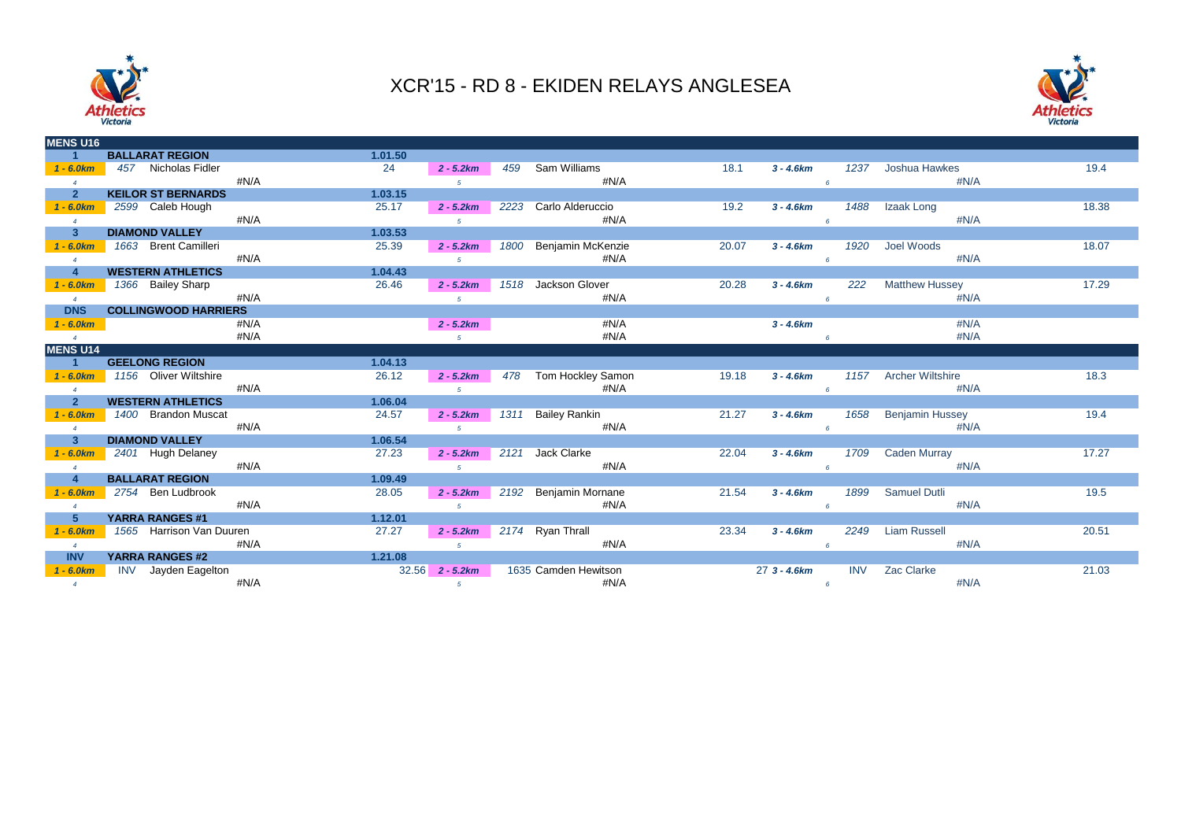



| <b>MENS U16</b> |                             |      |         |                |      |                       |       |               |            |                         |       |
|-----------------|-----------------------------|------|---------|----------------|------|-----------------------|-------|---------------|------------|-------------------------|-------|
|                 | <b>BALLARAT REGION</b>      |      | 1.01.50 |                |      |                       |       |               |            |                         |       |
| $1 - 6.0km$     | 457 Nicholas Fidler         |      | 24      | $2 - 5.2km$    | 459  | Sam Williams          | 18.1  | $3 - 4.6km$   | 1237       | Joshua Hawkes           | 19.4  |
| $\overline{4}$  |                             | #N/A |         | $\sqrt{5}$     |      | #N/A                  |       |               |            | $\#N/A$                 |       |
| $\mathbf{2}$    | <b>KEILOR ST BERNARDS</b>   |      | 1.03.15 |                |      |                       |       |               |            |                         |       |
| $1 - 6.0km$     | 2599 Caleb Hough            |      | 25.17   | $2 - 5.2km$    |      | 2223 Carlo Alderuccio | 19.2  | $3 - 4.6km$   | 1488       | Izaak Long              | 18.38 |
| $\overline{4}$  |                             | #N/A |         | 5 <sup>5</sup> |      | #N/A                  |       |               |            | #N/A                    |       |
| $\mathbf{3}$    | <b>DIAMOND VALLEY</b>       |      | 1.03.53 |                |      |                       |       |               |            |                         |       |
| $1 - 6.0km$     | 1663 Brent Camilleri        |      | 25.39   | $2 - 5.2km$    | 1800 | Benjamin McKenzie     | 20.07 | $3 - 4.6km$   | 1920       | Joel Woods              | 18.07 |
| $\overline{4}$  |                             | #N/A |         | $5^{\circ}$    |      | #N/A                  |       |               |            | #N/A                    |       |
| $\overline{4}$  | <b>WESTERN ATHLETICS</b>    |      | 1.04.43 |                |      |                       |       |               |            |                         |       |
| $1 - 6.0km$     | 1366 Bailey Sharp           |      | 26.46   | $2 - 5.2km$    |      | 1518 Jackson Glover   | 20.28 | $3 - 4.6km$   | 222        | <b>Matthew Hussey</b>   | 17.29 |
| $\overline{4}$  |                             | #N/A |         | 5 <sup>7</sup> |      | #N/A                  |       |               |            | #N/A                    |       |
| <b>DNS</b>      | <b>COLLINGWOOD HARRIERS</b> |      |         |                |      |                       |       |               |            |                         |       |
| $1 - 6.0km$     |                             | #N/A |         | $2 - 5.2km$    |      | #N/A                  |       | $3 - 4.6km$   |            | #N/A                    |       |
| $\overline{4}$  |                             | #N/A |         | 5 <sup>5</sup> |      | #N/A                  |       |               |            | #N/A                    |       |
| <b>MENS U14</b> |                             |      |         |                |      |                       |       |               |            |                         |       |
| $\overline{1}$  | <b>GEELONG REGION</b>       |      | 1.04.13 |                |      |                       |       |               |            |                         |       |
| $1 - 6.0km$     | 1156 Oliver Wiltshire       |      | 26.12   | $2 - 5.2km$    |      | 478 Tom Hockley Samon | 19.18 | $3 - 4.6km$   | 1157       | <b>Archer Wiltshire</b> | 18.3  |
| $\overline{4}$  |                             | #N/A |         | $\sqrt{5}$     |      | #N/A                  |       |               |            | #N/A                    |       |
| $\overline{2}$  | <b>WESTERN ATHLETICS</b>    |      | 1.06.04 |                |      |                       |       |               |            |                         |       |
| $1 - 6.0km$     | 1400 Brandon Muscat         |      | 24.57   | $2 - 5.2km$    | 1311 | <b>Bailey Rankin</b>  | 21.27 | $3 - 4.6km$   | 1658       | <b>Benjamin Hussey</b>  | 19.4  |
| $\overline{4}$  |                             | #N/A |         | $5^{\circ}$    |      | #N/A                  |       |               |            | $\#N/A$                 |       |
| 3               | <b>DIAMOND VALLEY</b>       |      | 1.06.54 |                |      |                       |       |               |            |                         |       |
| $1 - 6.0km$     | 2401 Hugh Delaney           |      | 27.23   | $2 - 5.2km$    | 2121 | Jack Clarke           | 22.04 | $3 - 4.6km$   | 1709       | <b>Caden Murray</b>     | 17.27 |
| $\overline{4}$  |                             | #N/A |         | $\sqrt{5}$     |      | #N/A                  |       |               |            | #N/A                    |       |
| $\overline{4}$  | <b>BALLARAT REGION</b>      |      | 1.09.49 |                |      |                       |       |               |            |                         |       |
| $1 - 6.0km$     | 2754 Ben Ludbrook           |      | 28.05   | $2 - 5.2km$    |      | 2192 Benjamin Mornane | 21.54 | $3 - 4.6km$   | 1899       | <b>Samuel Dutli</b>     | 19.5  |
| $\overline{4}$  |                             | #N/A |         | $5^{\circ}$    |      | #N/A                  |       |               |            | #N/A                    |       |
| $5\phantom{1}$  | <b>YARRA RANGES #1</b>      |      | 1.12.01 |                |      |                       |       |               |            |                         |       |
| $1 - 6.0km$     | 1565 Harrison Van Duuren    |      | 27.27   | $2 - 5.2km$    |      | 2174 Ryan Thrall      | 23.34 | $3 - 4.6km$   | 2249       | <b>Liam Russell</b>     | 20.51 |
| $\overline{4}$  |                             | #N/A |         | $\sqrt{5}$     |      | #N/A                  |       |               |            | #N/A                    |       |
| <b>INV</b>      | <b>YARRA RANGES #2</b>      |      | 1.21.08 |                |      |                       |       |               |            |                         |       |
| $1 - 6.0km$     | INV Jayden Eagelton         |      | 32.56   | $2 - 5.2km$    |      | 1635 Camden Hewitson  |       | $273 - 4.6km$ | <b>INV</b> | Zac Clarke              | 21.03 |
|                 |                             | #N/A |         |                |      | #N/A                  |       |               |            | #N/A                    |       |
| $\overline{4}$  |                             |      |         | 5 <sub>5</sub> |      |                       |       |               | 6          |                         |       |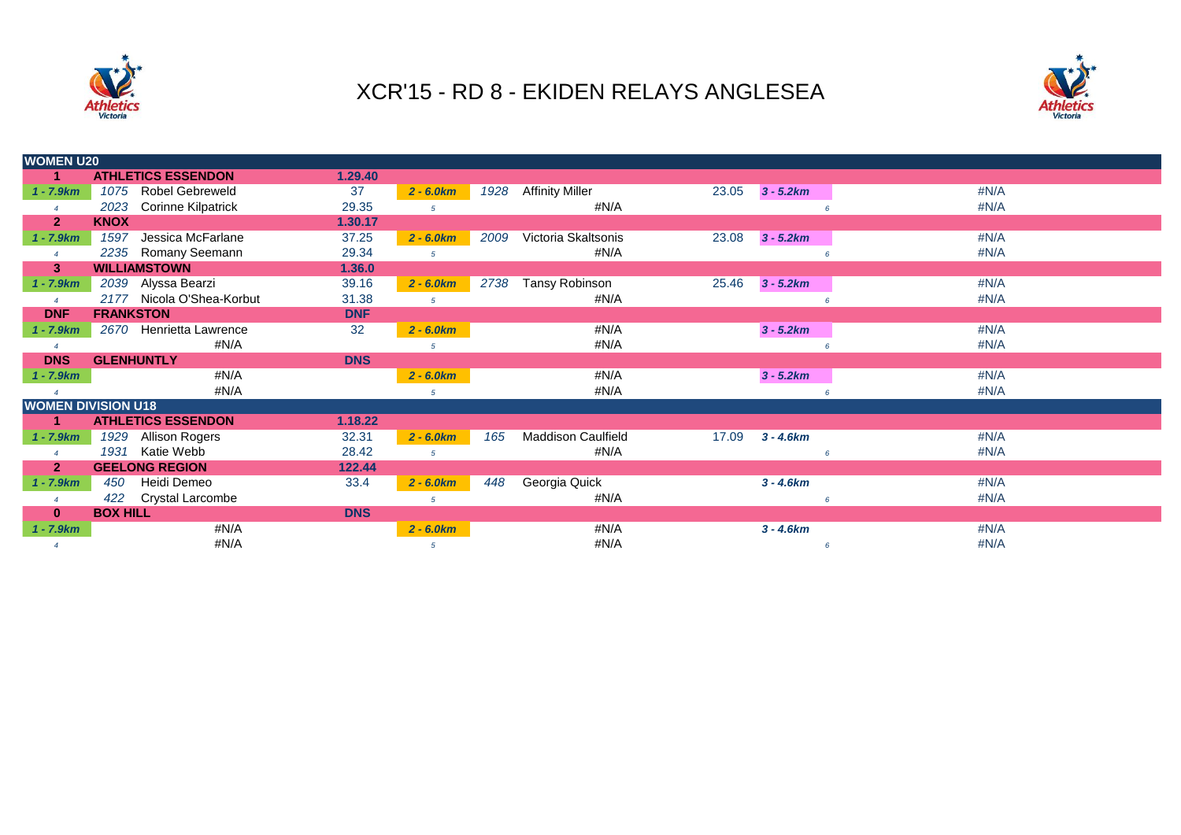



| <b>WOMEN U20</b>       |                                   |            |              |      |                        |       |             |                    |  |  |
|------------------------|-----------------------------------|------------|--------------|------|------------------------|-------|-------------|--------------------|--|--|
| 1                      | <b>ATHLETICS ESSENDON</b>         | 1.29.40    |              |      |                        |       |             |                    |  |  |
| $1 - 7.9km$            | <b>Robel Gebreweld</b><br>1075    | 37         | $2 - 6.0 km$ | 1928 | <b>Affinity Miller</b> | 23.05 | $3 - 5.2km$ | #N/A               |  |  |
|                        | 2023<br><b>Corinne Kilpatrick</b> | 29.35      | 5            |      | #N/A                   |       | 6           | #N/A               |  |  |
| $\overline{2}$         | <b>KNOX</b>                       | 1.30.17    |              |      |                        |       |             |                    |  |  |
| $1 - 7.9km$            | 1597<br>Jessica McFarlane         | 37.25      | $2 - 6.0 km$ | 2009 | Victoria Skaltsonis    | 23.08 | $3 - 5.2km$ | #N/A               |  |  |
|                        | 2235<br>Romany Seemann            | 29.34      | $5^{\circ}$  |      | #N/A                   |       | 6           | #N/A               |  |  |
| 3                      | <b>WILLIAMSTOWN</b>               | 1.36.0     |              |      |                        |       |             |                    |  |  |
| $1 - 7.9km$            | 2039 Alyssa Bearzi                | 39.16      | $2 - 6.0 km$ | 2738 | Tansy Robinson         | 25.46 | $3 - 5.2km$ | #N/A               |  |  |
| $\boldsymbol{\Lambda}$ | 2177 Nicola O'Shea-Korbut         | 31.38      | 5            |      | #N/A                   |       |             | #N/A               |  |  |
| <b>DNF</b>             | <b>FRANKSTON</b>                  | <b>DNF</b> |              |      |                        |       |             |                    |  |  |
| $1 - 7.9km$            | 2670 Henrietta Lawrence           | 32         | $2 - 6.0 km$ |      | #N/A                   |       | $3 - 5.2km$ | #N/A               |  |  |
| $\overline{4}$         | #N/A                              |            | 5            |      | #N/A                   |       |             | #N/A<br>$\epsilon$ |  |  |
| <b>DNS</b>             | <b>GLENHUNTLY</b>                 | <b>DNS</b> |              |      |                        |       |             |                    |  |  |
| $1 - 7.9km$            | #N/A                              |            | $2 - 6.0 km$ |      | #N/A                   |       | $3 - 5.2km$ | #N/A               |  |  |
|                        | #N/A                              |            | 5            |      | #N/A                   |       |             | #N/A               |  |  |
|                        | <b>WOMEN DIVISION U18</b>         |            |              |      |                        |       |             |                    |  |  |
| 1                      | <b>ATHLETICS ESSENDON</b>         | 1.18.22    |              |      |                        |       |             |                    |  |  |
| $1 - 7.9km$            | Allison Rogers<br>1929            | 32.31      | $2 - 6.0 km$ | 165  | Maddison Caulfield     | 17.09 | $3 - 4.6km$ | #N/A               |  |  |
|                        | 1931<br>Katie Webb                | 28.42      | 5            |      | #N/A                   |       |             | #N/A<br>$\epsilon$ |  |  |
| $\mathbf{2}$           | <b>GEELONG REGION</b>             | 122.44     |              |      |                        |       |             |                    |  |  |
| $1 - 7.9km$            | Heidi Demeo<br>450                | 33.4       | $2 - 6.0 km$ | 448  | Georgia Quick          |       | $3 - 4.6km$ | #N/A               |  |  |
| $\overline{4}$         | 422<br><b>Crystal Larcombe</b>    |            | 5            |      | #N/A                   |       |             | #N/A<br>6          |  |  |
| $\bf{0}$               | <b>BOX HILL</b>                   | <b>DNS</b> |              |      |                        |       |             |                    |  |  |
| $1 - 7.9km$            | #N/A                              |            | $2 - 6.0 km$ |      | #N/A                   |       | $3 - 4.6km$ | #N/A               |  |  |
| $\overline{4}$         | #N/A                              |            | 5            |      | #N/A                   |       | 6           | #N/A               |  |  |